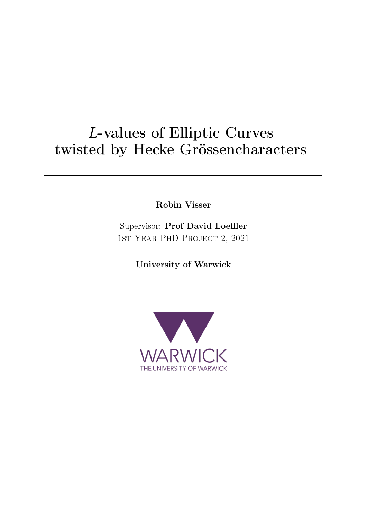# L-values of Elliptic Curves twisted by Hecke Grössencharacters

Robin Visser

Supervisor: Prof David Loeffler 1st Year PhD Project 2, 2021

University of Warwick

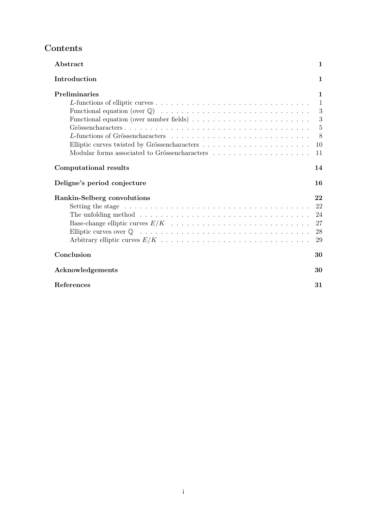# Contents

| Abstract                                                                                                   | 1            |
|------------------------------------------------------------------------------------------------------------|--------------|
| Introduction                                                                                               | $\mathbf{1}$ |
| Preliminaries                                                                                              | 1            |
|                                                                                                            | $\mathbf{1}$ |
|                                                                                                            | 3            |
| Functional equation (over number fields) $\ldots \ldots \ldots \ldots \ldots \ldots \ldots \ldots$         | 3            |
|                                                                                                            | 5            |
|                                                                                                            | 8            |
|                                                                                                            | 10           |
|                                                                                                            | 11           |
| Computational results                                                                                      | 14           |
| Deligne's period conjecture                                                                                | 16           |
| Rankin-Selberg convolutions                                                                                | 22           |
|                                                                                                            | 22           |
| The unfolding method $\ldots \ldots \ldots \ldots \ldots \ldots \ldots \ldots \ldots \ldots \ldots \ldots$ | 24           |
|                                                                                                            | 27           |
|                                                                                                            | 28           |
|                                                                                                            | 29           |
| Conclusion                                                                                                 | 30           |
| Acknowledgements                                                                                           | 30           |
|                                                                                                            |              |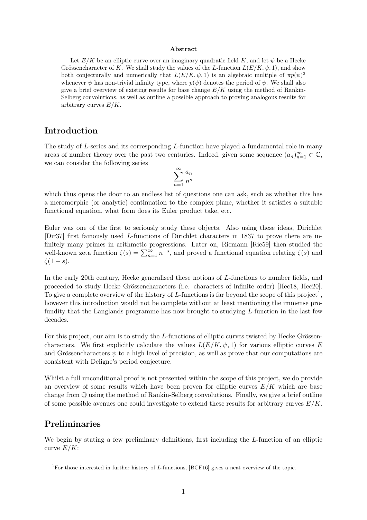#### Abstract

Let  $E/K$  be an elliptic curve over an imaginary quadratic field K, and let  $\psi$  be a Hecke Grössencharacter of K. We shall study the values of the L-function  $L(E/K, \psi, 1)$ , and show both conjecturally and numerically that  $L(E/K, \psi, 1)$  is an algebraic multiple of  $\pi p(\psi)^2$ whenever  $\psi$  has non-trivial infinity type, where  $p(\psi)$  denotes the period of  $\psi$ . We shall also give a brief overview of existing results for base change  $E/K$  using the method of Rankin-Selberg convolutions, as well as outline a possible approach to proving analogous results for arbitrary curves  $E/K$ .

### Introduction

The study of L-series and its corresponding L-function have played a fundamental role in many areas of number theory over the past two centuries. Indeed, given some sequence  $(a_n)_{n=1}^{\infty} \subset \mathbb{C}$ , we can consider the following series

$$
\sum_{n=1}^{\infty} \frac{a_n}{n^s}
$$

which thus opens the door to an endless list of questions one can ask, such as whether this has a meromorphic (or analytic) continuation to the complex plane, whether it satisfies a suitable functional equation, what form does its Euler product take, etc.

Euler was one of the first to seriously study these objects. Also using these ideas, Dirichlet [Dir37] first famously used L-functions of Dirichlet characters in 1837 to prove there are infinitely many primes in arithmetic progressions. Later on, Riemann [Rie59] then studied the well-known zeta function  $\zeta(s) = \sum_{n=1}^{\infty} n^{-s}$ , and proved a functional equation relating  $\zeta(s)$  and  $\zeta(1-s).$ 

In the early 20th century, Hecke generalised these notions of L-functions to number fields, and proceeded to study Hecke Grössencharacters (i.e. characters of infinite order) [Hec18, Hec20]. To give a complete overview of the history of L-functions is far beyond the scope of this project<sup>1</sup>, however this introduction would not be complete without at least mentioning the immense profundity that the Langlands programme has now brought to studying L-function in the last few decades.

For this project, our aim is to study the L-functions of elliptic curves twisted by Hecke Grössencharacters. We first explicitly calculate the values  $L(E/K, \psi, 1)$  for various elliptic curves E and Grössencharacters  $\psi$  to a high level of precision, as well as prove that our computations are consistent with Deligne's period conjecture.

Whilst a full unconditional proof is not presented within the scope of this project, we do provide an overview of some results which have been proven for elliptic curves  $E/K$  which are base change from Q using the method of Rankin-Selberg convolutions. Finally, we give a brief outline of some possible avenues one could investigate to extend these results for arbitrary curves  $E/K$ .

### Preliminaries

We begin by stating a few preliminary definitions, first including the L-function of an elliptic curve  $E/K$ :

<sup>&</sup>lt;sup>1</sup>For those interested in further history of L-functions, [BCF16] gives a neat overview of the topic.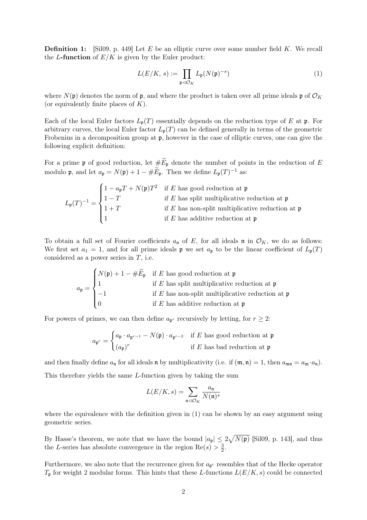**Definition 1:** [Sil09, p. 449] Let E be an elliptic curve over some number field K. We recall the L-function of  $E/K$  is given by the Euler product:

$$
L(E/K, s) := \prod_{\mathfrak{p} \vartriangleleft \mathcal{O}_K} L_{\mathfrak{p}}(N(\mathfrak{p})^{-s}) \tag{1}
$$

where  $N(\mathfrak{p})$  denotes the norm of  $\mathfrak{p}$ , and where the product is taken over all prime ideals  $\mathfrak{p}$  of  $\mathcal{O}_K$ (or equivalently finite places of  $K$ ).

Each of the local Euler factors  $L_{\mathfrak{p}}(T)$  essentially depends on the reduction type of E at p. For arbitrary curves, the local Euler factor  $L_{\mathfrak{p}}(T)$  can be defined generally in terms of the geometric Frobenius in a decomposition group at p, however in the case of elliptic curves, one can give the following explicit definition:

For a prime p of good reduction, let  $\# \widetilde{E}_{\mathfrak{p}}$  denote the number of points in the reduction of E modulo **p**, and let  $a_{\mathfrak{p}} = N(\mathfrak{p}) + 1 - \#\widetilde{E}_{\mathfrak{p}}$ . Then we define  $L_{\mathfrak{p}}(T)^{-1}$  as:

$$
L_{\mathfrak{p}}(T)^{-1} = \begin{cases} 1 - a_{\mathfrak{p}}T + N(\mathfrak{p})T^2 & \text{if } E \text{ has good reduction at } \mathfrak{p} \\ 1 - T & \text{if } E \text{ has split multiplicative reduction at } \mathfrak{p} \\ 1 + T & \text{if } E \text{ has non-split multiplicative reduction at } \mathfrak{p} \\ 1 & \text{if } E \text{ has additive reduction at } \mathfrak{p} \end{cases}
$$

To obtain a full set of Fourier coefficients  $a_n$  of E, for all ideals n in  $\mathcal{O}_K$ , we do as follows: We first set  $a_1 = 1$ , and for all prime ideals  $\mathfrak p$  we set  $a_{\mathfrak p}$  to be the linear coefficient of  $L_{\mathfrak p}(T)$ considered as a power series in  $T$ , i.e.

$$
a_{\mathfrak{p}} = \begin{cases} N(\mathfrak{p}) + 1 - \#\widetilde{E}_{\mathfrak{p}} & \text{if } E \text{ has good reduction at } \mathfrak{p} \\ 1 & \text{if } E \text{ has split multiplicative reduction at } \mathfrak{p} \\ -1 & \text{if } E \text{ has non-split multiplicative reduction at } \mathfrak{p} \\ 0 & \text{if } E \text{ has additive reduction at } \mathfrak{p} \end{cases}
$$

For powers of primes, we can then define  $a_{\mathfrak{p}^r}$  recursively by letting, for  $r \geq 2$ :

$$
a_{\mathfrak{p}^r} = \begin{cases} a_{\mathfrak{p}} \cdot a_{\mathfrak{p}^{r-1}} - N(\mathfrak{p}) \cdot a_{\mathfrak{p}^{r-2}} & \text{if } E \text{ has good reduction at } \mathfrak{p} \\ (a_{\mathfrak{p}})^r & \text{if } E \text{ has bad reduction at } \mathfrak{p} \end{cases}
$$

and then finally define  $a_n$  for all ideals n by multiplicativity (i.e. if  $(\mathfrak{m}, \mathfrak{n}) = 1$ , then  $a_{\mathfrak{mn}} = a_{\mathfrak{m}} \cdot a_{\mathfrak{n}}$ ). This therefore yields the same L-function given by taking the sum

$$
L(E/K, s) = \sum_{\mathfrak{n} \lhd \mathcal{O}_K} \frac{a_{\mathfrak{n}}}{N(\mathfrak{n})^s}
$$

where the equivalence with the definition given in  $(1)$  can be shown by an easy argument using geometric series.

By Hasse's theorem, we note that we have the bound  $|a_{\mathfrak{p}}| \leq 2\sqrt{N(\mathfrak{p})}$  [Sil09, p. 143], and thus the L-series has absolute convergence in the region  $Re(s) > \frac{3}{2}$  $\frac{3}{2}$ .

Furthermore, we also note that the recurrence given for  $a_{\mathfrak{p}r}$  resembles that of the Hecke operator  $T_{\mathfrak{p}}$  for weight 2 modular forms. This hints that these L-functions  $L(E/K, s)$  could be connected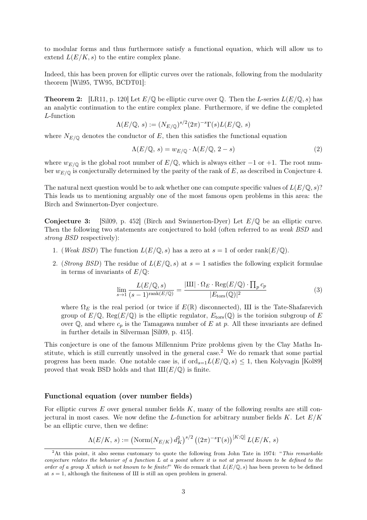to modular forms and thus furthermore satisfy a functional equation, which will allow us to extend  $L(E/K, s)$  to the entire complex plane.

Indeed, this has been proven for elliptic curves over the rationals, following from the modularity theorem [Wil95, TW95, BCDT01]:

**Theorem 2:** [LR11, p. 120] Let  $E/\mathbb{Q}$  be elliptic curve over  $\mathbb{Q}$ . Then the L-series  $L(E/\mathbb{Q}, s)$  has an analytic continuation to the entire complex plane. Furthermore, if we define the completed L-function

$$
\Lambda(E/\mathbb{Q}, s) := (N_{E/\mathbb{Q}})^{s/2} (2\pi)^{-s} \Gamma(s) L(E/\mathbb{Q}, s)
$$

where  $N_{E/\mathbb{Q}}$  denotes the conductor of E, then this satisfies the functional equation

$$
\Lambda(E/\mathbb{Q}, s) = w_{E/\mathbb{Q}} \cdot \Lambda(E/\mathbb{Q}, 2 - s)
$$
\n(2)

where  $w_{E/\mathbb{Q}}$  is the global root number of  $E/\mathbb{Q}$ , which is always either  $-1$  or  $+1$ . The root number  $w_{E/\mathbb{Q}}$  is conjecturally determined by the parity of the rank of E, as described in Conjecture 4.

The natural next question would be to ask whether one can compute specific values of  $L(E/\mathbb{Q}, s)$ ? This leads us to mentioning arguably one of the most famous open problems in this area: the Birch and Swinnerton-Dyer conjecture.

**Conjecture 3:** [Sil09, p. 452] (Birch and Swinnerton-Dyer) Let  $E/\mathbb{Q}$  be an elliptic curve. Then the following two statements are conjectured to hold (often referred to as weak BSD and strong BSD respectively):

- 1. (Weak BSD) The function  $L(E/\mathbb{Q}, s)$  has a zero at  $s = 1$  of order rank( $E/\mathbb{Q}$ ).
- 2. (Strong BSD) The residue of  $L(E/\mathbb{Q}, s)$  at  $s = 1$  satisfies the following explicit formulae in terms of invariants of  $E/\mathbb{Q}$ :

$$
\lim_{s \to 1} \frac{L(E/\mathbb{Q}, s)}{(s-1)^{\text{rank}(E/\mathbb{Q})}} = \frac{|\text{III}| \cdot \Omega_E \cdot \text{Reg}(E/\mathbb{Q}) \cdot \prod_p c_p}{|E_{\text{tors}}(\mathbb{Q})|^2} \tag{3}
$$

where  $\Omega_E$  is the real period (or twice if  $E(\mathbb{R})$  disconnected), III is the Tate-Shafarevich group of  $E/\mathbb{Q}$ , Reg $(E/\mathbb{Q})$  is the elliptic regulator,  $E_{\text{tors}}(\mathbb{Q})$  is the torision subgroup of E over  $\mathbb{Q}$ , and where  $c_p$  is the Tamagawa number of E at p. All these invariants are defined in further details in Silverman [Sil09, p. 415].

This conjecture is one of the famous Millennium Prize problems given by the Clay Maths Institute, which is still currently unsolved in the general case.<sup>2</sup> We do remark that some partial progress has been made. One notable case is, if  $\text{ord}_{s=1}L(E/\mathbb{Q}, s) \leq 1$ , then Kolyvagin [Kol89] proved that weak BSD holds and that  $III(E/\mathbb{Q})$  is finite.

#### Functional equation (over number fields)

For elliptic curves  $E$  over general number fields  $K$ , many of the following results are still conjectural in most cases. We now define the L-function for arbitrary number fields  $K$ . Let  $E/K$ be an elliptic curve, then we define:

$$
\Lambda(E/K, s) := \left(\mathrm{Norm}(N_{E/K}) d_K^2\right)^{s/2} \left((2\pi)^{-s} \Gamma(s)\right)^{[K:\mathbb{Q}]} L(E/K, s)
$$

<sup>&</sup>lt;sup>2</sup>At this point, it also seems customary to quote the following from John Tate in 1974: "This remarkable conjecture relates the behavior of a function L at a point where it is not at present known to be defined to the order of a group X which is not known to be finite!" We do remark that  $L(E/\mathbb{Q}, s)$  has been proven to be defined at  $s = 1$ , although the finiteness of III is still an open problem in general.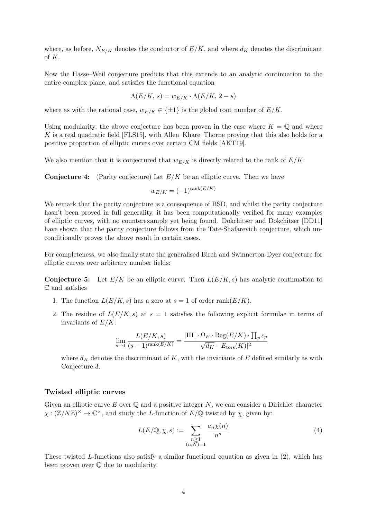where, as before,  $N_{E/K}$  denotes the conductor of  $E/K$ , and where  $d_K$  denotes the discriminant of K.

Now the Hasse–Weil conjecture predicts that this extends to an analytic continuation to the entire complex plane, and satisfies the functional equation

$$
\Lambda(E/K, s) = w_{E/K} \cdot \Lambda(E/K, 2 - s)
$$

where as with the rational case,  $w_{E/K} \in \{\pm 1\}$  is the global root number of  $E/K$ .

Using modularity, the above conjecture has been proven in the case where  $K = \mathbb{Q}$  and where K is a real quadratic field [FLS15], with Allen–Khare–Thorne proving that this also holds for a positive proportion of elliptic curves over certain CM fields [AKT19].

We also mention that it is conjectured that  $w_{E/K}$  is directly related to the rank of  $E/K$ :

**Conjecture 4:** (Parity conjecture) Let  $E/K$  be an elliptic curve. Then we have

$$
w_{E/K} = (-1)^{\text{rank}(E/K)}
$$

We remark that the parity conjecture is a consequence of BSD, and whilst the parity conjecture hasn't been proved in full generality, it has been computationally verified for many examples of elliptic curves, with no counterexample yet being found. Dokchitser and Dokchitser [DD11] have shown that the parity conjecture follows from the Tate-Shafarevich conjecture, which unconditionally proves the above result in certain cases.

For completeness, we also finally state the generalised Birch and Swinnerton-Dyer conjecture for elliptic curves over arbitrary number fields:

**Conjecture 5:** Let  $E/K$  be an elliptic curve. Then  $L(E/K, s)$  has analytic continuation to C and satisfies

- 1. The function  $L(E/K, s)$  has a zero at  $s = 1$  of order rank $(E/K)$ .
- 2. The residue of  $L(E/K, s)$  at  $s = 1$  satisfies the following explicit formulae in terms of invariants of  $E/K$ :

$$
\lim_{s \to 1} \frac{L(E/K, s)}{(s-1)^{\text{rank}(E/K)}} = \frac{|\text{III}| \cdot \Omega_E \cdot \text{Reg}(E/K) \cdot \prod_p c_p}{\sqrt{d_K} \cdot |E_{\text{tors}}(K)|^2}
$$

where  $d_K$  denotes the discriminant of K, with the invariants of E defined similarly as with Conjecture 3.

#### Twisted elliptic curves

Given an elliptic curve  $E$  over  $\mathbb Q$  and a positive integer  $N$ , we can consider a Dirichlet character  $\chi : (\mathbb{Z}/N\mathbb{Z})^{\times} \to \mathbb{C}^{\times}$ , and study the *L*-function of  $E/\mathbb{Q}$  twisted by  $\chi$ , given by:

$$
L(E/\mathbb{Q}, \chi, s) := \sum_{\substack{n \geq 1 \\ (n,N)=1}} \frac{a_n \chi(n)}{n^s} \tag{4}
$$

These twisted L-functions also satisfy a similar functional equation as given in  $(2)$ , which has been proven over Q due to modularity.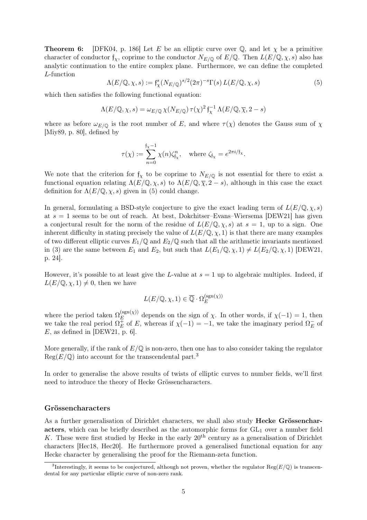**Theorem 6:** [DFK04, p. 186] Let E be an elliptic curve over Q, and let  $\chi$  be a primitive character of conductor  $f_{\chi}$ , coprime to the conductor  $N_{E/\mathbb{Q}}$  of  $E/\mathbb{Q}$ . Then  $L(E/\mathbb{Q}, \chi, s)$  also has analytic continuation to the entire complex plane. Furthermore, we can define the completed L-function

$$
\Lambda(E/\mathbb{Q}, \chi, s) := \mathfrak{f}_{\chi}^s(N_{E/\mathbb{Q}})^{s/2} (2\pi)^{-s} \Gamma(s) L(E/\mathbb{Q}, \chi, s)
$$
(5)

which then satisfies the following functional equation:

$$
\Lambda(E/\mathbb{Q},\chi,s) = \omega_{E/\mathbb{Q}} \,\chi(N_{E/\mathbb{Q}}) \,\tau(\chi)^2 \, \mathfrak{f}_{\chi}^{-1} \,\Lambda(E/\mathbb{Q},\overline{\chi},2-s)
$$

where as before  $\omega_{E/\mathbb{Q}}$  is the root number of E, and where  $\tau(\chi)$  denotes the Gauss sum of  $\chi$ [Miy89, p. 80], defined by

$$
\tau(\chi) := \sum_{n=0}^{\mathfrak{f}_{\chi}-1} \chi(n) \zeta_{\mathfrak{f}_{\chi}}^n, \quad \text{where } \zeta_{\mathfrak{f}_{\chi}} = e^{2\pi i / \mathfrak{f}_{\chi}}.
$$

We note that the criterion for  $f_{\chi}$  to be coprime to  $N_{E/\mathbb{Q}}$  is not essential for there to exist a functional equation relating  $\Lambda(E/\mathbb{Q},\chi,s)$  to  $\Lambda(E/\mathbb{Q},\overline{\chi},2-s)$ , although in this case the exact definition for  $\Lambda(E/\mathbb{Q}, \chi, s)$  given in (5) could change.

In general, formulating a BSD-style conjecture to give the exact leading term of  $L(E/\mathbb{Q}, \chi, s)$ at  $s = 1$  seems to be out of reach. At best, Dokchitser–Evans–Wiersema [DEW21] has given a conjectural result for the norm of the residue of  $L(E/\mathbb{Q}, \chi, s)$  at  $s = 1$ , up to a sign. One inherent difficulty in stating precisely the value of  $L(E/\mathbb{Q}, \chi, 1)$  is that there are many examples of two different elliptic curves  $E_1/\mathbb{Q}$  and  $E_2/\mathbb{Q}$  such that all the arithmetic invariants mentioned in (3) are the same between  $E_1$  and  $E_2$ , but such that  $L(E_1/\mathbb{Q}, \chi, 1) \neq L(E_2/\mathbb{Q}, \chi, 1)$  [DEW21, p. 24].

However, it's possible to at least give the L-value at  $s = 1$  up to algebraic multiples. Indeed, if  $L(E/\mathbb{Q}, \chi, 1) \neq 0$ , then we have

$$
L(E/\mathbb{Q}, \chi, 1) \in \overline{\mathbb{Q}} \cdot \Omega_E^{(\text{sgn}(\chi))}
$$

where the period taken  $\Omega_E^{\mathrm{(sgn)}(\chi)}$  $E_E^{(\text{sgn}(\chi))}$  depends on the sign of  $\chi$ . In other words, if  $\chi(-1) = 1$ , then we take the real period  $\Omega_{E}^{\pm}$  $\bar{E}$  of E, whereas if  $\chi(-1) = -1$ , we take the imaginary period  $\Omega_E^ _{E}^{-}$  of  $E$ , as defined in [DEW21, p. 6].

More generally, if the rank of  $E/\mathbb{Q}$  is non-zero, then one has to also consider taking the regulator  $Reg(E/\mathbb{Q})$  into account for the transcendental part.<sup>3</sup>

In order to generalise the above results of twists of elliptic curves to number fields, we'll first need to introduce the theory of Hecke Grössencharacters.

### Grössencharacters

As a further generalisation of Dirichlet characters, we shall also study Hecke Grössencharacters, which can be briefly described as the automorphic forms for  $GL_1$  over a number field K. These were first studied by Hecke in the early  $20<sup>th</sup>$  century as a generalisation of Dirichlet characters [Hec18, Hec20]. He furthermore proved a generalised functional equation for any Hecke character by generalising the proof for the Riemann-zeta function.

<sup>&</sup>lt;sup>3</sup>Interestingly, it seems to be conjectured, although not proven, whether the regulator  $\text{Reg}(E/\mathbb{Q})$  is transcendental for any particular elliptic curve of non-zero rank.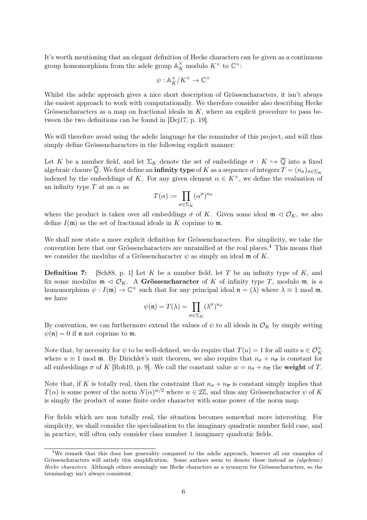It's worth mentioning that an elegant definition of Hecke characters can be given as a continuous group homomorphism from the adele group  $\mathbb{A}_K^\times$  modulo  $K^\times$  to  $\mathbb{C}^\times$ :

$$
\psi: \mathbb{A}_K^\times/K^\times \to \mathbb{C}^\times
$$

Whilst the adelic approach gives a nice short description of Grössencharacters, it isn't always the easiest approach to work with computationally. We therefore consider also describing Hecke Grössencharacters as a map on fractional ideals in  $K$ , where an explicit procedure to pass between the two definitions can be found in [Dej17, p. 19].

We will therefore avoid using the adelic language for the remainder of this project, and will thus simply define Grössencharacters in the following explicit manner:

Let K be a number field, and let  $\Sigma_K$  denote the set of embeddings  $\sigma: K \hookrightarrow \overline{\mathbb{Q}}$  into a fixed algebraic closure  $\overline{Q}$ . We first define an **infinity type** of K as a sequence of integers  $T = (n_{\sigma})_{\sigma \in \Sigma_K}$ indexed by the embeddings of K. For any given element  $\alpha \in K^{\times}$ , we define the evaluation of an infinity type T at an  $\alpha$  as

$$
T(\alpha) := \prod_{\sigma \in \Sigma_K} (\alpha^{\sigma})^{n_{\sigma}}
$$

where the product is taken over all embeddings  $\sigma$  of K. Given some ideal  $\mathfrak{m} \triangleleft \mathcal{O}_K$ , we also define  $I(\mathfrak{m})$  as the set of fractional ideals in K coprime to  $\mathfrak{m}$ .

We shall now state a more explicit definition for Grössencharacters. For simplicity, we take the convention here that our Grössencharacters are unramified at the real places.<sup>4</sup> This means that we consider the modulus of a Grössencharacter  $\psi$  as simply an ideal m of K.

**Definition 7:** [Sch88, p. 1] Let K be a number field, let T be an infinity type of K, and fix some modulus  $\mathfrak{m} \triangleleft \mathcal{O}_K$ . A Grössencharacter of K of infinity type T, modulo  $\mathfrak{m}$ , is a homomorphism  $\psi: I(\mathfrak{m}) \to \mathbb{C}^{\times}$  such that for any principal ideal  $\mathfrak{n} = (\lambda)$  where  $\lambda \equiv 1 \text{ mod } \mathfrak{m}$ , we have

$$
\psi(\mathfrak{n}) = T(\lambda) = \prod_{\sigma \in \Sigma_K} (\lambda^{\sigma})^{n_{\sigma}}
$$

By convention, we can furthermore extend the values of  $\psi$  to all ideals in  $\mathcal{O}_K$  by simply setting  $\psi(\mathfrak{n}) = 0$  if  $\mathfrak{n}$  not coprime to  $\mathfrak{m}$ .

Note that, by necessity for  $\psi$  to be well-defined, we do require that  $T(u) = 1$  for all units  $u \in \mathcal{O}_K^{\times}$ where  $u \equiv 1 \mod \mathfrak{m}$ . By Dirichlet's unit theorem, we also require that  $n_{\sigma} + n_{\overline{\sigma}}$  is constant for all embeddings  $\sigma$  of K [Roh10, p. 9]. We call the constant value  $w = n_{\sigma} + n_{\overline{\sigma}}$  the weight of T.

Note that, if K is totally real, then the constraint that  $n_{\sigma} + n_{\overline{\sigma}}$  is constant simply implies that  $T(\alpha)$  is some power of the norm  $N(\alpha)^{w/2}$  where  $w \in 2\mathbb{Z}$ , and thus any Grössencharacter  $\psi$  of K is simply the product of some finite order character with some power of the norm map.

For fields which are non totally real, the situation becomes somewhat more interesting. For simplicity, we shall consider the specialisation to the imaginary quadratic number field case, and in practice, will often only consider class number 1 imaginary quadratic fields.

<sup>4</sup>We remark that this does lose generality compared to the adelic approach, however all our examples of Grössencharacters will satisfy this simplification. Some authors seem to denote these instead as (algebraic) Hecke characters. Although others seemingly use Hecke characters as a synonym for Grössencharacters, so the terminology isn't always consistent.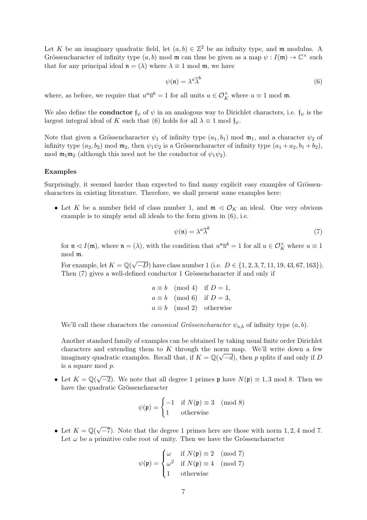Let K be an imaginary quadratic field, let  $(a, b) \in \mathbb{Z}^2$  be an infinity type, and m modulus. A Grössencharacter of infinity type  $(a, b)$  mod m can thus be given as a map  $\psi : I(\mathfrak{m}) \to \mathbb{C}^{\times}$  such that for any principal ideal  $\mathfrak{n} = (\lambda)$  where  $\lambda \equiv 1 \mod \mathfrak{m}$ , we have

$$
\psi(\mathfrak{n}) = \lambda^a \overline{\lambda}^b \tag{6}
$$

where, as before, we require that  $u^a \overline{u}^b = 1$  for all units  $u \in \mathcal{O}_K^{\times}$  where  $u \equiv 1 \mod \mathfrak{m}$ .

We also define the **conductor**  $f_{\psi}$  of  $\psi$  in an analogous way to Dirichlet characters, i.e.  $f_{\psi}$  is the largest integral ideal of K such that (6) holds for all  $\lambda \equiv 1 \mod f_{\psi}$ .

Note that given a Grössencharacter  $\psi_1$  of infinity type  $(a_1, b_1)$  mod  $\mathfrak{m}_1$ , and a character  $\psi_2$  of infinity type  $(a_2, b_2)$  mod  $\mathfrak{m}_2$ , then  $\psi_1 \psi_2$  is a Grössencharacter of infinity type  $(a_1 + a_2, b_1 + b_2)$ , mod  $\mathfrak{m}_1\mathfrak{m}_2$  (although this need not be the conductor of  $\psi_1\psi_2$ ).

### Examples

Surprisingly, it seemed harder than expected to find many explicit easy examples of Grössencharacters in existing literature. Therefore, we shall present some examples here:

• Let K be a number field of class number 1, and  $\mathfrak{m} \triangleleft \mathcal{O}_K$  an ideal. One very obvious example is to simply send all ideals to the form given in (6), i.e.

$$
\psi(\mathfrak{n}) = \lambda^a \overline{\lambda}^b \tag{7}
$$

for  $\mathfrak{n} \lhd I(\mathfrak{m})$ , where  $\mathfrak{n} = (\lambda)$ , with the condition that  $u^a \overline{u}^b = 1$  for all  $u \in \mathcal{O}_K^{\times}$  where  $u \equiv 1$ mod m.

For example, let  $K = \mathbb{Q}(\sqrt{2})$  $(-D)$  have class number 1 (i.e.  $D \in \{1, 2, 3, 7, 11, 19, 43, 67, 163\}$ ). Then (7) gives a well-defined conductor 1 Grössencharacter if and only if

$$
a \equiv b \pmod{4}
$$
 if  $D = 1$ ,  
\n $a \equiv b \pmod{6}$  if  $D = 3$ ,  
\n $a \equiv b \pmod{2}$  otherwise

We'll call these characters the *canonical Grössencharacter*  $\psi_{a,b}$  of infinity type  $(a, b)$ .

Another standard family of examples can be obtained by taking usual finite order Dirichlet characters and extending them to K through the norm map. We'll write down a few imaginary quadratic examples. Recall that, if  $K = \mathbb{Q}(\sqrt{-d})$ , then p splits if and only if D is a square mod p.

• Let  $K = \mathbb{Q}(\sqrt{2})$  $\overline{-2}$ ). We note that all degree 1 primes p have  $N(\mathfrak{p}) \equiv 1, 3 \mod 8$ . Then we have the quadratic Grössencharacter

$$
\psi(\mathfrak{p}) = \begin{cases}\n-1 & \text{if } N(\mathfrak{p}) \equiv 3 \pmod{8} \\
1 & \text{otherwise}\n\end{cases}
$$

• Let  $K = \mathbb{Q}(\sqrt{2})$  $-\overline{7}$ ). Note that the degree 1 primes here are those with norm 1, 2, 4 mod 7. Let  $\omega$  be a primitive cube root of unity. Then we have the Grössencharacter

$$
\psi(\mathfrak{p}) = \begin{cases}\n\omega & \text{if } N(\mathfrak{p}) \equiv 2 \pmod{7} \\
\omega^2 & \text{if } N(\mathfrak{p}) \equiv 4 \pmod{7} \\
1 & \text{otherwise}\n\end{cases}
$$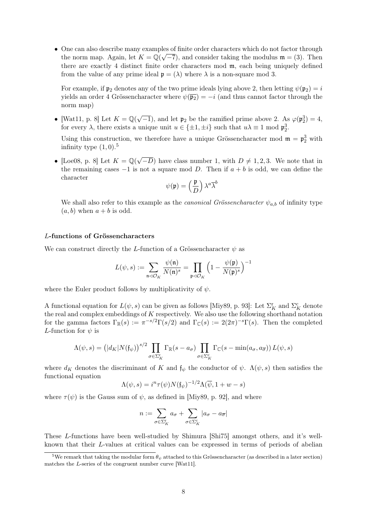• One can also describe many examples of finite order characters which do not factor through √ the norm map. Again, let  $K = \mathbb{Q}(\sqrt{-7})$ , and consider taking the modulus  $\mathfrak{m} = (3)$ . Then there are exactly 4 distinct finite order characters mod m, each being uniquely defined from the value of any prime ideal  $\mathfrak{p} = (\lambda)$  where  $\lambda$  is a non-square mod 3.

For example, if  $\mathfrak{p}_2$  denotes any of the two prime ideals lying above 2, then letting  $\psi(\mathfrak{p}_2) = i$ yields an order 4 Grössencharacter where  $\psi(\overline{p_2}) = -i$  (and thus cannot factor through the norm map)

• [Wat11, p. 8] Let  $K = \mathbb{Q}(\sqrt{2})$  $\overline{-1}$ , and let  $\mathfrak{p}_2$  be the ramified prime above 2. As  $\varphi(\mathfrak{p}_2^3) = 4$ , for every  $\lambda$ , there exists a unique unit  $u \in \{\pm 1, \pm i\}$  such that  $u\lambda \equiv 1 \mod \mathfrak{p}_2^3$ .

Using this construction, we therefore have a unique Grössencharacter mod  $\mathfrak{m} = \mathfrak{p}_2^3$  with infinity type  $(1,0).<sup>5</sup>$ 

• [Loe08, p. 8] Let  $K = \mathbb{Q}(\sqrt{2})$  $(-D)$  have class number 1, with  $D \neq 1, 2, 3$ . We note that in the remaining cases  $-1$  is not a square mod D. Then if  $a + b$  is odd, we can define the character

$$
\psi(\mathfrak{p})=\left(\frac{\mathfrak{p}}{D}\right)\lambda^a\overline{\lambda}^b
$$

We shall also refer to this example as the *canonical Grössencharacter*  $\psi_{a,b}$  of infinity type  $(a, b)$  when  $a + b$  is odd.

### L-functions of Grössencharacters

We can construct directly the L-function of a Grössencharacter  $\psi$  as

$$
L(\psi, s) := \sum_{\mathfrak{n} \triangleleft \mathcal{O}_K} \frac{\psi(\mathfrak{n})}{N(\mathfrak{n})^s} = \prod_{\mathfrak{p} \triangleleft \mathcal{O}_K} \left(1 - \frac{\psi(\mathfrak{p})}{N(\mathfrak{p})^s}\right)^{-1}
$$

where the Euler product follows by multiplicativity of  $\psi$ .

A functional equation for  $L(\psi, s)$  can be given as follows [Miy89, p. 93]: Let  $\Sigma_K^{\rm r}$  and  $\Sigma_K^{\rm c}$  denote the real and complex embeddings of  $K$  respectively. We also use the following shorthand notation for the gamma factors  $\Gamma_{\mathbb{R}}(s) := \pi^{-s/2} \Gamma(s/2)$  and  $\Gamma_{\mathbb{C}}(s) := 2(2\pi)^{-s} \Gamma(s)$ . Then the completed L-function for  $\psi$  is

$$
\Lambda(\psi, s) = (|d_K| N(\mathfrak{f}_{\psi}))^{s/2} \prod_{\sigma \in \Sigma_K^{\mathfrak{r}}} \Gamma_{\mathbb{R}}(s - a_{\sigma}) \prod_{\sigma \in \Sigma_K^{\mathfrak{c}}} \Gamma_{\mathbb{C}}(s - \min(a_{\sigma}, a_{\overline{\sigma}})) L(\psi, s)
$$

where  $d_K$  denotes the discriminant of K and  $f_{\psi}$  the conductor of  $\psi$ .  $\Lambda(\psi, s)$  then satisfies the functional equation

$$
\Lambda(\psi, s) = i^n \tau(\psi) N(\mathfrak{f}_{\psi})^{-1/2} \Lambda(\overline{\psi}, 1 + w - s)
$$

where  $\tau(\psi)$  is the Gauss sum of  $\psi$ , as defined in [Miy89, p. 92], and where

$$
n := \sum_{\sigma \in \Sigma_K^{\rm r}} a_{\sigma} + \sum_{\sigma \in \Sigma_K^{\rm c}} |a_{\sigma} - a_{\overline{\sigma}}|
$$

These L-functions have been well-studied by Shimura [Shi75] amongst others, and it's wellknown that their L-values at critical values can be expressed in terms of periods of abelian

<sup>&</sup>lt;sup>5</sup>We remark that taking the modular form  $\theta_{\psi}$  attached to this Grössencharacter (as described in a later section) matches the L-series of the congruent number curve [Wat11].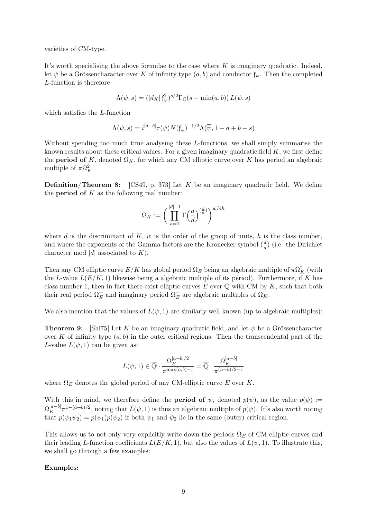varieties of CM-type.

It's worth specialising the above formulae to the case where  $K$  is imaginary quadratic. Indeed, let  $\psi$  be a Grössencharacter over K of infinity type  $(a, b)$  and conductor  $f_{\psi}$ . Then the completed L-function is therefore

$$
\Lambda(\psi, s) = (|d_K| \mathfrak{f}_{\psi}^2)^{s/2} \Gamma_{\mathbb{C}}(s - \min(a, b)) L(\psi, s)
$$

which satisfies the L-function

$$
\Lambda(\psi, s) = i^{|a-b|} \tau(\psi) N(\mathfrak{f}_{\psi})^{-1/2} \Lambda(\overline{\psi}, 1 + a + b - s)
$$

Without spending too much time analysing these L-functions, we shall simply summarise the known results about these critical values. For a given imaginary quadratic field  $K$ , we first define the **period of** K, denoted  $\Omega_K$ , for which any CM elliptic curve over K has period an algebraic multiple of  $\pi \Omega_K^2$ .

**Definition/Theorem 8:** [CS49, p. 373] Let  $K$  be an imaginary quadratic field. We define the **period of**  $K$  as the following real number:

$$
\Omega_K:=\bigg(\prod_{a=1}^{|d|-1}\Gamma\Big(\frac{a}{d}\Big)^{(\frac{d}{a})}\bigg)^{w/4h}
$$

where d is the discriminant of  $K$ , w is the order of the group of units, h is the class number, and where the exponents of the Gamma factors are the Kronecker symbol  $\left(\frac{d}{dt}\right)$  $\frac{d}{a}$ ) (i.e. the Dirichlet character mod |d| associated to  $K$ ).

Then any CM elliptic curve  $E/K$  has global period  $\Omega_E$  being an algebraic multiple of  $\pi \Omega_K^2$  (with the L-value  $L(E/K, 1)$  likewise being a algebraic multiple of its period). Furthermore, if K has class number 1, then in fact there exist elliptic curves  $E$  over  $\mathbb Q$  with CM by  $K$ , such that both their real period  $\Omega_E^+$  $^+_E$  and imaginary period  $\Omega _E^ E$  are algebraic multiples of  $\Omega_K$ .

We also mention that the values of  $L(\psi, 1)$  are similarly well-known (up to algebraic multiples):

**Theorem 9:** [Shi75] Let K be an imaginary quadratic field, and let  $\psi$  be a Grössencharacter over K of infinity type  $(a, b)$  in the outer critical regions. Then the transcendental part of the L-value  $L(\psi, 1)$  can be given as:

$$
L(\psi, 1) \in \overline{\mathbb{Q}} \cdot \frac{\Omega_E^{|a-b|/2}}{\pi^{\max(a,b)-1}} = \overline{\mathbb{Q}} \cdot \frac{\Omega_K^{|a-b|}}{\pi^{(a+b)/2-1}}
$$

where  $\Omega_E$  denotes the global period of any CM-elliptic curve E over K.

With this in mind, we therefore define the **period of**  $\psi$ , denoted  $p(\psi)$ , as the value  $p(\psi) :=$  $\Omega_K^{|a-b|}\pi^{1-(a+b)/2}$ , noting that  $L(\psi, 1)$  is thus an algebraic multiple of  $p(\psi)$ . It's also worth noting that  $p(\psi_1 \psi_2) = p(\psi_1)p(\psi_2)$  if both  $\psi_1$  and  $\psi_2$  lie in the same (outer) critical region.

This allows us to not only very explicitly write down the periods  $\Omega_E$  of CM elliptic curves and their leading L-function coefficients  $L(E/K, 1)$ , but also the values of  $L(\psi, 1)$ . To illustrate this, we shall go through a few examples:

#### Examples: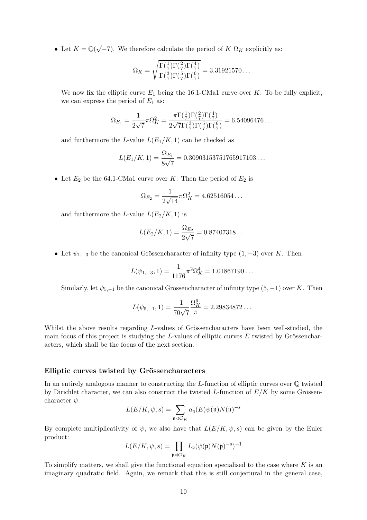• Let  $K = \mathbb{Q}(\sqrt{2})$  $(-7)$ . We therefore calculate the period of K  $\Omega_K$  explicitly as:

$$
\Omega_K = \sqrt{\frac{\Gamma(\frac{1}{7})\Gamma(\frac{2}{7})\Gamma(\frac{4}{7})}{\Gamma(\frac{3}{7})\Gamma(\frac{5}{7})\Gamma(\frac{6}{7})}} = 3.31921570...
$$

We now fix the elliptic curve  $E_1$  being the 16.1-CMa1 curve over K. To be fully explicit, we can express the period of  $E_1$  as:

$$
\Omega_{E_1} = \frac{1}{2\sqrt{7}} \pi \Omega_K^2 = \frac{\pi \Gamma(\frac{1}{7}) \Gamma(\frac{2}{7}) \Gamma(\frac{4}{7})}{2\sqrt{7} \Gamma(\frac{3}{7}) \Gamma(\frac{5}{7}) \Gamma(\frac{6}{7})} = 6.54096476\dots
$$

and furthermore the L-value  $L(E_1/K, 1)$  can be checked as

$$
L(E_1/K, 1) = \frac{\Omega_{E_1}}{8\sqrt{7}} = 0.30903153751765917103...
$$

• Let  $E_2$  be the 64.1-CMa1 curve over K. Then the period of  $E_2$  is

$$
\Omega_{E_2} = \frac{1}{2\sqrt{14}} \pi \Omega_K^2 = 4.62516054\dots
$$

and furthermore the L-value  $L(E_2/K, 1)$  is

$$
L(E_2/K, 1) = \frac{\Omega_{E_2}}{2\sqrt{7}} = 0.87407318...
$$

• Let  $\psi_{1,-3}$  be the canonical Grössencharacter of infinity type  $(1, -3)$  over K. Then

$$
L(\psi_{1,-3}, 1) = \frac{1}{1176}\pi^2 \Omega_K^4 = 1.01867190...
$$

Similarly, let  $\psi_{5,-1}$  be the canonical Grössencharacter of infinity type  $(5, -1)$  over K. Then

$$
L(\psi_{5,-1}, 1) = \frac{1}{70\sqrt{7}} \frac{\Omega_K^6}{\pi} = 2.29834872...
$$

Whilst the above results regarding L-values of Grössencharacters have been well-studied, the main focus of this project is studying the  $L$ -values of elliptic curves  $E$  twisted by Grössencharacters, which shall be the focus of the next section.

#### Elliptic curves twisted by Grössencharacters

In an entirely analogous manner to constructing the  $L$ -function of elliptic curves over  $\mathbb Q$  twisted by Dirichlet character, we can also construct the twisted L-function of  $E/K$  by some Grössencharacter  $\psi$ :

$$
L(E/K, \psi, s) = \sum_{\mathfrak{n} \lhd \mathcal{O}_K} a_{\mathfrak{n}}(E) \psi(\mathfrak{n}) N(\mathfrak{n})^{-s}
$$

By complete multiplicativity of  $\psi$ , we also have that  $L(E/K, \psi, s)$  can be given by the Euler product:

$$
L(E/K, \psi, s) = \prod_{\mathfrak{p} \triangleleft \mathcal{O}_K} L_{\mathfrak{p}}(\psi(\mathfrak{p}) N(\mathfrak{p})^{-s})^{-1}
$$

To simplify matters, we shall give the functional equation specialised to the case where  $K$  is an imaginary quadratic field. Again, we remark that this is still conjectural in the general case,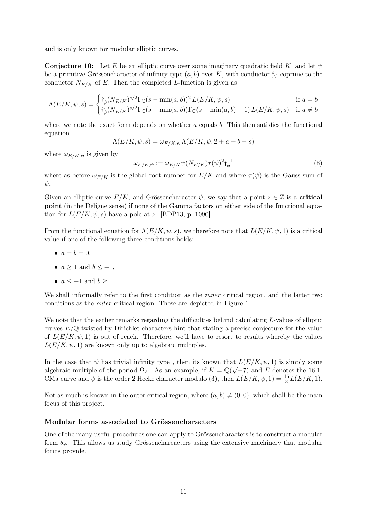and is only known for modular elliptic curves.

**Conjecture 10:** Let E be an elliptic curve over some imaginary quadratic field K, and let  $\psi$ be a primitive Grössencharacter of infinity type  $(a, b)$  over K, with conductor  $f_{\psi}$  coprime to the conductor  $N_{E/K}$  of E. Then the completed L-function is given as

$$
\Lambda(E/K, \psi, s) = \begin{cases} \mathfrak{f}_{\psi}^{s}(N_{E/K})^{s/2} \Gamma_{\mathbb{C}}(s - \min(a, b))^{2} L(E/K, \psi, s) & \text{if } a = b \\ \mathfrak{f}_{\psi}^{s}(N_{E/K})^{s/2} \Gamma_{\mathbb{C}}(s - \min(a, b)) \Gamma_{\mathbb{C}}(s - \min(a, b) - 1) L(E/K, \psi, s) & \text{if } a \neq b \end{cases}
$$

where we note the exact form depends on whether  $a$  equals  $b$ . This then satisfies the functional equation

$$
\Lambda(E/K,\psi,s)=\omega_{E/K,\psi}\,\Lambda(E/K,\overline{\psi},2+a+b-s)
$$

where  $\omega_{E/K,\psi}$  is given by

$$
\omega_{E/K,\psi} := \omega_{E/K} \psi(N_{E/K}) \tau(\psi)^2 \mathfrak{f}_{\psi}^{-1}
$$
\n(8)

where as before  $\omega_{E/K}$  is the global root number for  $E/K$  and where  $\tau(\psi)$  is the Gauss sum of  $\psi$ .

Given an elliptic curve  $E/K$ , and Grössencharacter  $\psi$ , we say that a point  $z \in \mathbb{Z}$  is a **critical** point (in the Deligne sense) if none of the Gamma factors on either side of the functional equation for  $L(E/K, \psi, s)$  have a pole at z. [BDP13, p. 1090].

From the functional equation for  $\Lambda(E/K, \psi, s)$ , we therefore note that  $L(E/K, \psi, 1)$  is a critical value if one of the following three conditions holds:

- $a = b = 0$ ,
- $a \geq 1$  and  $b \leq -1$ ,
- $a \le -1$  and  $b \ge 1$ .

We shall informally refer to the first condition as the *inner* critical region, and the latter two conditions as the outer critical region. These are depicted in Figure 1.

We note that the earlier remarks regarding the difficulties behind calculating L-values of elliptic curves  $E/\mathbb{Q}$  twisted by Dirichlet characters hint that stating a precise conjecture for the value of  $L(E/K, \psi, 1)$  is out of reach. Therefore, we'll have to resort to results whereby the values  $L(E/K, \psi, 1)$  are known only up to algebraic multiples.

In the case that  $\psi$  has trivial infinity type, then its known that  $L(E/K, \psi, 1)$  is simply some in the case that  $\varphi$  has trivial infinity type, then its known that algebraic multiple of the period  $\Omega_E$ . As an example, if  $K = \mathbb{Q}(\sqrt{2\pi})$  $(-7)$  and E denotes the 16.1-CMa curve and  $\psi$  is the order 2 Hecke character modulo (3), then  $L(E/K, \psi, 1) = \frac{16}{3}L(E/K, 1)$ .

Not as much is known in the outer critical region, where  $(a, b) \neq (0, 0)$ , which shall be the main focus of this project.

### Modular forms associated to Grössencharacters

One of the many useful procedures one can apply to Grössencharacters is to construct a modular form  $\theta_{\psi}$ . This allows us study Grössenchareacters using the extensive machinery that modular forms provide.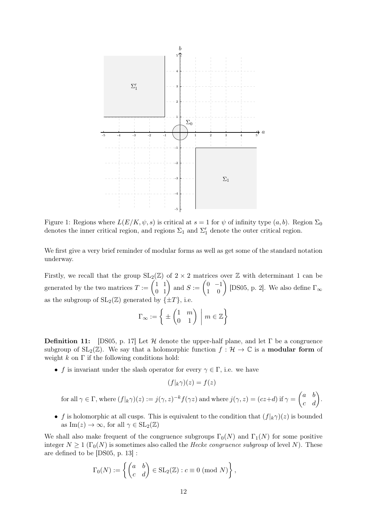

Figure 1: Regions where  $L(E/K, \psi, s)$  is critical at  $s = 1$  for  $\psi$  of infinity type  $(a, b)$ . Region  $\Sigma_0$ denotes the inner critical region, and regions  $\Sigma_1$  and  $\Sigma'_1$  denote the outer critical region.

We first give a very brief reminder of modular forms as well as get some of the standard notation underway.

Firstly, we recall that the group  $SL_2(\mathbb{Z})$  of  $2 \times 2$  matrices over  $\mathbb Z$  with determinant 1 can be generated by the two matrices  $T := \begin{pmatrix} 1 & 1 \\ 0 & 1 \end{pmatrix}$  and  $S := \begin{pmatrix} 0 & -1 \\ 1 & 0 \end{pmatrix}$  [DS05, p. 2]. We also define  $\Gamma_{\infty}$ as the subgroup of  $SL_2(\mathbb{Z})$  generated by  $\{\pm T\}$ , i.e.

$$
\Gamma_{\infty} := \left\{ \pm \begin{pmatrix} 1 & m \\ 0 & 1 \end{pmatrix} \, \middle| \, m \in \mathbb{Z} \right\}
$$

**Definition 11:** [DS05, p. 17] Let H denote the upper-half plane, and let  $\Gamma$  be a congruence subgroup of  $SL_2(\mathbb{Z})$ . We say that a holomorphic function  $f : \mathcal{H} \to \mathbb{C}$  is a **modular form** of weight  $k$  on  $\Gamma$  if the following conditions hold:

• f is invariant under the slash operator for every  $\gamma \in \Gamma$ , i.e. we have

$$
(f|_{k}\gamma)(z) = f(z)
$$

for all 
$$
\gamma \in \Gamma
$$
, where  $(f|_k \gamma)(z) := j(\gamma, z)^{-k} f(\gamma z)$  and where  $j(\gamma, z) = (cz+d)$  if  $\gamma = \begin{pmatrix} a & b \\ c & d \end{pmatrix}$ .

• f is holomorphic at all cusps. This is equivalent to the condition that  $(f|k\gamma)(z)$  is bounded as  $\text{Im}(z) \to \infty$ , for all  $\gamma \in SL_2(\mathbb{Z})$ 

We shall also make frequent of the congruence subgroups  $\Gamma_0(N)$  and  $\Gamma_1(N)$  for some positive integer  $N \geq 1$  ( $\Gamma_0(N)$ ) is sometimes also called the *Hecke congruence subgroup* of level N). These are defined to be [DS05, p. 13] :

$$
\Gamma_0(N) := \left\{ \begin{pmatrix} a & b \\ c & d \end{pmatrix} \in SL_2(\mathbb{Z}) : c \equiv 0 \pmod{N} \right\},\
$$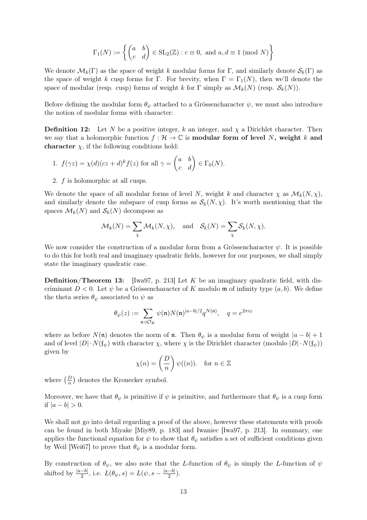$$
\Gamma_1(N) := \left\{ \begin{pmatrix} a & b \\ c & d \end{pmatrix} \in SL_2(\mathbb{Z}) : c \equiv 0, \text{ and } a, d \equiv 1 \pmod{N} \right\}
$$

We denote  $\mathcal{M}_k(\Gamma)$  as the space of weight k modular forms for  $\Gamma$ , and similarly denote  $\mathcal{S}_k(\Gamma)$  as the space of weight k cusp forms for Γ. For brevity, when  $\Gamma = \Gamma_1(N)$ , then we'll denote the space of modular (resp. cusp) forms of weight k for  $\Gamma$  simply as  $\mathcal{M}_k(N)$  (resp.  $\mathcal{S}_k(N)$ ).

Before defining the modular form  $\theta_{\psi}$  attached to a Grössencharacter  $\psi$ , we must also introduce the notion of modular forms with character:

**Definition 12:** Let N be a positive integer, k an integer, and  $\chi$  a Dirichlet character. Then we say that a holomorphic function  $f : \mathcal{H} \to \mathbb{C}$  is **modular form of level** N, weight k and character  $\chi$ , if the following conditions hold:

1. 
$$
f(\gamma z) = \chi(d)(cz+d)^k f(z)
$$
 for all  $\gamma = \begin{pmatrix} a & b \\ c & d \end{pmatrix} \in \Gamma_0(N)$ .

2. f is holomorphic at all cusps.

We denote the space of all modular forms of level N, weight k and character  $\chi$  as  $\mathcal{M}_k(N, \chi)$ , and similarly denote the subspace of cusp forms as  $\mathcal{S}_k(N,\chi)$ . It's worth mentioning that the spaces  $\mathcal{M}_k(N)$  and  $\mathcal{S}_k(N)$  decompose as

$$
\mathcal{M}_k(N) = \sum_{\chi} \mathcal{M}_k(N, \chi), \quad \text{and} \quad \mathcal{S}_k(N) = \sum_{\chi} \mathcal{S}_k(N, \chi).
$$

We now consider the construction of a modular form from a Grössencharacter  $\psi$ . It is possible to do this for both real and imaginary quadratic fields, however for our purposes, we shall simply state the imaginary quadratic case.

**Definition/Theorem 13:** [Iwa97, p. 213] Let K be an imaginary quadratic field, with discriminant  $D < 0$ . Let  $\psi$  be a Grössencharacter of K modulo m of infinity type  $(a, b)$ . We define the theta series  $\theta_{\psi}$  associated to  $\psi$  as

$$
\theta_{\psi}(z) := \sum_{\mathfrak{n} \triangleleft \mathcal{O}_K} \psi(\mathfrak{n}) N(\mathfrak{n})^{|a-b|/2} q^{N(\mathfrak{n})}, \quad q = e^{2\pi i z}
$$

where as before  $N(\mathfrak{n})$  denotes the norm of  $\mathfrak{n}$ . Then  $\theta_{\psi}$  is a modular form of weight  $|a-b|+1$ and of level  $|D| \cdot N(f_{\psi})$  with character  $\chi$ , where  $\chi$  is the Dirichlet character (modulo  $|D| \cdot N(f_{\psi})$ ) given by

$$
\chi(n) = \left(\frac{D}{n}\right) \psi((n)). \quad \text{for } n \in \mathbb{Z}
$$

where  $\left(\frac{D}{n}\right)$  denotes the Kronecker symbol.

Moreover, we have that  $\theta_{\psi}$  is primitive if  $\psi$  is primitive, and furthermore that  $\theta_{\psi}$  is a cusp form if  $|a - b| > 0$ .

We shall not go into detail regarding a proof of the above, however these statements with proofs can be found in both Miyake [Miy89, p. 183] and Iwaniec [Iwa97, p. 213]. In summary, one applies the functional equation for  $\psi$  to show that  $\theta_{\psi}$  satisfies a set of sufficient conditions given by Weil [Wei67] to prove that  $\theta_{\psi}$  is a modular form.

By construction of  $\theta_{\psi}$ , we also note that the L-function of  $\theta_{\psi}$  is simply the L-function of  $\psi$ shifted by  $\frac{|a-b|}{2}$ , i.e.  $L(\theta_{\psi}, s) = L(\psi, s - \frac{|a-b|}{2})$  $\frac{-b]}{2}$ ).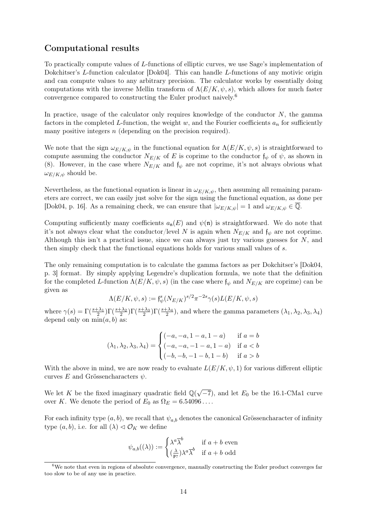### Computational results

To practically compute values of L-functions of elliptic curves, we use Sage's implementation of Dokchitser's L-function calculator [Dok04]. This can handle L-functions of any motivic origin and can compute values to any arbitrary precision. The calculator works by essentially doing computations with the inverse Mellin transform of  $\Lambda(E/K, \psi, s)$ , which allows for much faster convergence compared to constructing the Euler product naively.<sup>6</sup>

In practice, usage of the calculator only requires knowledge of the conductor  $N$ , the gamma factors in the completed L-function, the weight w, and the Fourier coefficients  $a_n$  for sufficiently many positive integers  $n$  (depending on the precision required).

We note that the sign  $\omega_{E/K,\psi}$  in the functional equation for  $\Lambda(E/K,\psi,s)$  is straightforward to compute assuming the conductor  $N_{E/K}$  of E is coprime to the conductor  $f_{\psi}$  of  $\psi$ , as shown in (8). However, in the case where  $N_{E/K}$  and  $f_{\psi}$  are not coprime, it's not always obvious what  $\omega_{E/K,\psi}$  should be.

Nevertheless, as the functional equation is linear in  $\omega_{E/K,\psi}$ , then assuming all remaining parameters are correct, we can easily just solve for the sign using the functional equation, as done per [Dok04, p. 16]. As a remaining check, we can ensure that  $|\omega_{E/K,\psi}| = 1$  and  $\omega_{E/K,\psi} \in \overline{\mathbb{Q}}$ .

Computing sufficiently many coefficients  $a_n(E)$  and  $\psi(n)$  is straightforward. We do note that it's not always clear what the conductor/level N is again when  $N_{E/K}$  and  $f_{\psi}$  are not coprime. Although this isn't a practical issue, since we can always just try various guesses for  $N$ , and then simply check that the functional equations holds for various small values of s.

The only remaining computation is to calculate the gamma factors as per Dokchitser's [Dok04, p. 3] format. By simply applying Legendre's duplication formula, we note that the definition for the completed L-function  $\Lambda(E/K, \psi, s)$  (in the case where  $f_{\psi}$  and  $N_{E/K}$  are coprime) can be given as

$$
\Lambda(E/K,\psi,s) := \mathfrak{f}_{\psi}^s(N_{E/K})^{s/2} \pi^{-2s} \gamma(s) L(E/K,\psi,s)
$$

where  $\gamma(s) = \Gamma(\frac{s+\lambda_1}{2})\Gamma(\frac{s+\lambda_2}{2})\Gamma(\frac{s+\lambda_3}{2})$ , and where the gamma parameters  $(\lambda_1, \lambda_2, \lambda_3, \lambda_4)$ depend only on  $\min(a, b)$  as:

$$
(\lambda_1, \lambda_2, \lambda_3, \lambda_4) = \begin{cases} (-a, -a, 1-a, 1-a) & \text{if } a=b \\ (-a, -a, -1-a, 1-a) & \text{if } ab \end{cases}
$$

With the above in mind, we are now ready to evaluate  $L(E/K, \psi, 1)$  for various different elliptic curves E and Grössencharacters  $\psi$ .

We let K be the fixed imaginary quadratic field  $\mathbb{Q}(\sqrt{\mathbb{Z}})$  $(-7)$ , and let  $E_0$  be the 16.1-CMa1 curve over K. We denote the period of  $E_0$  as  $\Omega_E = 6.54096...$ 

For each infinity type  $(a, b)$ , we recall that  $\psi_{a,b}$  denotes the canonical Grössencharacter of infinity type  $(a, b)$ , i.e. for all  $(\lambda) \triangleleft \mathcal{O}_K$  we define

$$
\psi_{a,b}((\lambda)) := \begin{cases} \lambda^a \overline{\lambda}^b & \text{if } a+b \text{ even} \\ (\frac{\lambda}{\mathfrak{p}_7}) \lambda^a \overline{\lambda}^b & \text{if } a+b \text{ odd} \end{cases}
$$

<sup>6</sup>We note that even in regions of absolute convergence, manually constructing the Euler product converges far too slow to be of any use in practice.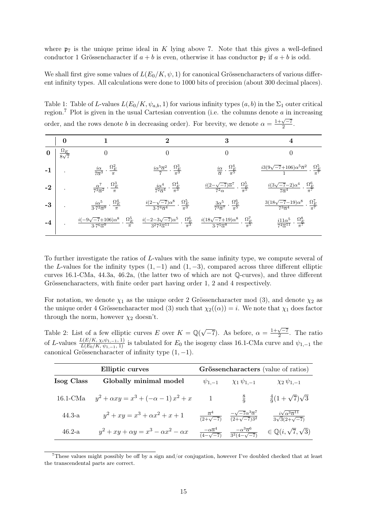where  $\mathfrak{p}_7$  is the unique prime ideal in K lying above 7. Note that this gives a well-defined conductor 1 Grössencharacter if  $a + b$  is even, otherwise it has conductor  $\mathfrak{p}_7$  if  $a + b$  is odd.

We shall first give some values of  $L(E_0/K, \psi, 1)$  for canonical Grössencharacters of various different infinity types. All calculations were done to 1000 bits of precision (about 300 decimal places).

Table 1: Table of L-values  $L(E_0/K, \psi_{a,b}, 1)$  for various infinity types  $(a, b)$  in the  $\Sigma_1$  outer critical region.<sup>7</sup> Plot is given in the usual Cartesian convention (i.e. the columns denote  $a$  in increasing order, and the rows denote b in decreasing order). For brevity, we denote  $\alpha = \frac{1+\sqrt{-7}}{2}$  $\frac{\sqrt{-t}}{2}$ .

| $\boldsymbol{0}$           |                                                                              | 2                                                                                       | 3                                                                                             | 4                                                                                                     |
|----------------------------|------------------------------------------------------------------------------|-----------------------------------------------------------------------------------------|-----------------------------------------------------------------------------------------------|-------------------------------------------------------------------------------------------------------|
| $rac{\Omega_E}{8\sqrt{7}}$ | 0                                                                            | 0                                                                                       | 0                                                                                             | 0                                                                                                     |
|                            | $\frac{i\alpha}{7\overline{\alpha}^3}\cdot\frac{\Omega_E^2}{\pi}$            | $\frac{i\alpha^5\overline{\alpha}^2}{7}\cdot\frac{\Omega_E^3}{\pi^3}$                   | $\frac{i\alpha}{\overline{\alpha}}\cdot\frac{\Omega_E^4}{\pi^5}$                              | $\frac{i3(9\sqrt{-7}+106)\alpha^{5}\overline{\alpha}^{2}}{1}\cdot\frac{\Omega_{E}^{5}}{\pi^{7}}$      |
|                            | $\frac{\alpha^7}{7^3\overline{\alpha}^2}\cdot\frac{\Omega_E^3}{\pi}$         | $\frac{i\alpha^4}{7^2\overline{\alpha}^4}\cdot\frac{\Omega_E^4}{\pi^3}$                 | $\frac{i(2-\sqrt{-7})\overline{\alpha}^7}{7^2\alpha}\cdot\frac{\Omega^5_E}{\pi^5}$            | $\frac{i(3\sqrt{-7}-2)\alpha^4}{7\overline{\alpha}^4} \cdot \frac{\Omega_E^6}{\pi^7}$                 |
|                            | $\frac{i\alpha^5}{3\cdot 7^2\overline{\alpha}^9}\cdot\frac{\Omega_E^4}{\pi}$ | $\frac{i(2-\sqrt{-7})\alpha^8}{3.74\overline{\alpha}^4} \cdot \frac{\Omega_E^5}{\pi^3}$ | $\frac{3\alpha^5}{7^3\overline{\alpha}^7}\cdot\frac{\Omega_E^6}{\pi^5}$                       | $\frac{3(18\sqrt{-7}-19)\alpha^{8}}{7^{3}\overline{\alpha}^{4}} \cdot \frac{\Omega_{E}^{7}}{\pi^{7}}$ |
|                            |                                                                              |                                                                                         | $\frac{i(18\sqrt{-7}+19)\alpha^8}{3\cdot7^5\overline{\alpha}^8}\cdot\frac{\Omega_E^7}{\pi^5}$ | $\frac{i11\alpha^5}{7^4\overline{\alpha}^{11}}\cdot\frac{\Omega_E^8}{\pi^7}$                          |
|                            |                                                                              |                                                                                         | $\frac{i(-9\sqrt{-7}+106)\alpha^8}{3\cdot7^6\overline{\alpha}^9}\cdot\frac{\Omega_E^5}{\pi}$  | $\frac{i(-2-3\sqrt{-7})\alpha^5}{3^2 7^3 \overline{\alpha}^{11}} \cdot \frac{\Omega_E^6}{\pi^3}$      |

To further investigate the ratios of L-values with the same infinity type, we compute several of the L-values for the infinity types  $(1, -1)$  and  $(1, -3)$ , compared across three different elliptic curves 16.1-CMa, 44.3a, 46.2a, (the latter two of which are not Q-curves), and three different Grössencharacters, with finite order part having order 1, 2 and 4 respectively.

For notation, we denote  $\chi_1$  as the unique order 2 Grössencharacter mod (3), and denote  $\chi_2$  as the unique order 4 Grössencharacter mod (3) such that  $\chi_2((\alpha)) = i$ . We note that  $\chi_1$  does factor through the norm, however  $\chi_2$  doesn't.

Table 2: List of a few elliptic curves E over  $K = \mathbb{Q}(\sqrt{\mathbb{Q}})$  $\overline{-7}$ ). As before,  $\alpha = \frac{1+\sqrt{-7}}{2}$ . The ratio of L-values  $\frac{L(E/K, \chi_i\psi_{1,-1}, 1)}{L(E_0/K, \psi_{1,-1}, 1)}$  is tabulated for  $E_0$  the isogeny class 16.1-CMa curve and  $\psi_{1,-1}$  the canonical Grössencharacter of infinity type  $(1, -1)$ .

| Elliptic curves   |                                                     | Grössencharacters (value of ratios)                |                                                                  |                                                                         |
|-------------------|-----------------------------------------------------|----------------------------------------------------|------------------------------------------------------------------|-------------------------------------------------------------------------|
| Isog Class        | Globally minimal model                              | $\psi_{1,-1}$                                      | $\chi_1 \psi_{1,-1}$                                             | $\chi_2 \psi_{1,-1}$                                                    |
| $16.1\text{-}CMa$ | $y^2 + \alpha xy = x^3 + (-\alpha - 1)x^2 + x$      | -1                                                 | $rac{8}{0}$                                                      | $rac{4}{9}(1+\sqrt{7})\sqrt{3}$                                         |
| $44.3 - a$        | $y^2 + xy = x^3 + \alpha x^2 + x + 1$               | $\frac{\overline{\alpha}^4}{(2+\sqrt{-7})}$        | $\frac{-\sqrt{-7}\alpha^3\overline{\alpha}^7}{(2+\sqrt{-7})3^2}$ | $\frac{i\sqrt{\alpha^3\overline{\alpha}^{11}}}{3\sqrt{3}(2+\sqrt{-7})}$ |
| $46.2-a$          | $y^2 + xy + \alpha y = x^3 - \alpha x^2 - \alpha x$ | $\frac{-\alpha\overline{\alpha}^4}{(4-\sqrt{-7})}$ | $\frac{-\alpha^3 \overline{\alpha}^6}{3^2(4-\sqrt{-7})}$         | $\in \mathbb{Q}(i,\sqrt{7},\sqrt{3})$                                   |

<sup>7</sup>These values might possibly be off by a sign and/or conjugation, however I've doubled checked that at least the transcendental parts are correct.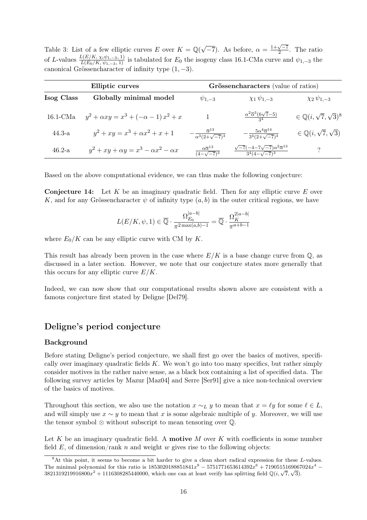Table 3: List of a few elliptic curves E over  $K = \mathbb{Q}(\sqrt{\mathbb{Q}})$  $\overline{-7}$ ). As before,  $\alpha = \frac{1+\sqrt{-7}}{2}$  $\frac{\sqrt{1}}{2}$ . The ratio of L-values  $\frac{L(E/K, \chi_i\psi_{1,-3}, 1)}{L(E_0/K, \psi_{1,-3}, 1)}$  is tabulated for  $E_0$  the isogeny class 16.1-CMa curve and  $\psi_{1,-3}$  the canonical Grössencharacter of infinity type  $(1, -3)$ .

| Elliptic curves   |                                                     | Grössencharacters (value of ratios)                      |                                                                                  |                                         |  |
|-------------------|-----------------------------------------------------|----------------------------------------------------------|----------------------------------------------------------------------------------|-----------------------------------------|--|
| Isog Class        | Globally minimal model                              | $\psi_{1,-3}$                                            | $\chi_1 \psi_{1,-3}$                                                             | $\chi_2 \psi_{1,-3}$                    |  |
| $16.1\text{-}CMa$ | $y^2 + \alpha xy = x^3 + (-\alpha - 1)x^2 + x$      |                                                          | $\frac{\alpha^2 \overline{\alpha}^3 (6\sqrt{7}-5)}{34}$                          | $\in \mathbb{Q}(i,\sqrt{7},\sqrt{3})^8$ |  |
| $44.3 - a$        | $y^2 + xy = x^3 + \alpha x^2 + x + 1$               | $\frac{\overline{\alpha}^{13}}{\alpha^3(2+\sqrt{-7})^3}$ | $\frac{5\alpha^4\overline{\alpha}^{14}}{3^4(2+\sqrt{-7})^3}$                     | $\in \mathbb{Q}(i,\sqrt{7},\sqrt{3})$   |  |
| $46.2-a$          | $y^2 + xy + \alpha y = x^3 - \alpha x^2 - \alpha x$ | $\alpha\overline{\alpha}^{13}$<br>$\sqrt{4-\sqrt{-7}^3}$ | $\sqrt{-7}(-4-7\sqrt{-7})\alpha^2\overline{\alpha}^{13}$<br>$3^4(4-\sqrt{-7})^3$ |                                         |  |

Based on the above computational evidence, we can thus make the following conjecture:

**Conjecture 14:** Let K be an imaginary quadratic field. Then for any elliptic curve E over K, and for any Grössencharacter  $\psi$  of infinity type  $(a, b)$  in the outer critical regions, we have

$$
L(E/K, \psi, 1) \in \overline{\mathbb{Q}} \cdot \frac{\Omega_{E_0}^{|a-b|}}{\pi^{2 \max(a,b)-1}} = \overline{\mathbb{Q}} \cdot \frac{\Omega_K^{2|a-b|}}{\pi^{a+b-1}}
$$

where  $E_0/K$  can be any elliptic curve with CM by K.

This result has already been proven in the case where  $E/K$  is a base change curve from  $\mathbb{Q}$ , as discussed in a later section. However, we note that our conjecture states more generally that this occurs for any elliptic curve  $E/K$ .

Indeed, we can now show that our computational results shown above are consistent with a famous conjecture first stated by Deligne [Del79].

### Deligne's period conjecture

### Background

Before stating Deligne's period conjecture, we shall first go over the basics of motives, specifically over imaginary quadratic fields  $K$ . We won't go into too many specifics, but rather simply consider motives in the rather naive sense, as a black box containing a list of specified data. The following survey articles by Mazur [Maz04] and Serre [Ser91] give a nice non-technical overview of the basics of motives.

Throughout this section, we also use the notation  $x \sim_L y$  to mean that  $x = \ell y$  for some  $\ell \in L$ , and will simply use  $x \sim y$  to mean that x is some algebraic multiple of y. Moreover, we will use the tensor symbol  $\otimes$  without subscript to mean tensoring over  $\mathbb{Q}$ .

Let K be an imaginary quadratic field. A **motive** M over K with coefficients in some number field  $E$ , of dimension/rank n and weight w gives rise to the following objects:

<sup>8</sup>At this point, it seems to become a bit harder to give a clean short radical expression for these L-values. The minimal polynomial for this ratio is  $1853020188851841x^8 - 5751771653614392x^6 + 7190515169067024x^4 - 5751771653614392x^6 + 7190515169067024x^4$ The minimal polynomial for this ratio is 1853020188851841x – 5751771653614392x + 7190515169067<br>3821319219916800x<sup>2</sup> + 1116308285440000, which one can at least verify has splitting field  $\mathbb{Q}(i, \sqrt{7}, \sqrt{3})$ .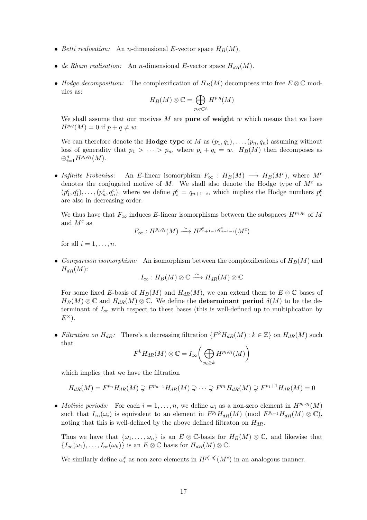- Betti realisation: An n-dimensional E-vector space  $H_B(M)$ .
- de Rham realisation: An n-dimensional E-vector space  $H_{dR}(M)$ .
- Hodge decomposition: The complexification of  $H_B(M)$  decomposes into free  $E \otimes \mathbb{C}$  modules as:

$$
H_B(M)\otimes \mathbb{C}=\bigoplus_{p,q\in \mathbb{Z}} H^{p,q}(M)
$$

We shall assume that our motives M are pure of weight w which means that we have  $H^{p,q}(M) = 0$  if  $p + q \neq w$ .

We can therefore denote the **Hodge type** of M as  $(p_1, q_1), \ldots, (p_n, q_n)$  assuming without loss of generality that  $p_1 > \cdots > p_n$ , where  $p_i + q_i = w$ .  $H_B(M)$  then decomposes as  $\oplus_{i=1}^n H^{p_i,q_i}(M)$ .

• Infinite Frobenius: An E-linear isomorphism  $F_{\infty} : H_B(M) \longrightarrow H_B(M^c)$ , where  $M^c$ denotes the conjugated motive of  $M$ . We shall also denote the Hodge type of  $M<sup>c</sup>$  as  $(p_1^c, q_1^c), \ldots, (p_n^c, q_n^c)$ , where we define  $p_i^c = q_{n+1-i}$ , which implies the Hodge numbers  $p_i^c$ are also in decreasing order.

We thus have that  $F_{\infty}$  induces E-linear isomorphisms between the subspaces  $H^{p_i,q_i}$  of M and  $M^c$  as

$$
F_{\infty}: H^{p_i,q_i}(M) \xrightarrow{\sim} H^{p_{n+1-1}^c,q_{n+1-i}^c}(M^c)
$$

for all  $i = 1, \ldots, n$ .

• Comparison isomorphism: An isomorphism between the complexifications of  $H_B(M)$  and  $H_{dR}(M)$ :

$$
I_{\infty}:H_B(M)\otimes\mathbb{C}\stackrel{\sim}{\longrightarrow}H_{dR}(M)\otimes\mathbb{C}
$$

For some fixed E-basis of  $H_B(M)$  and  $H_{dR}(M)$ , we can extend them to  $E \otimes \mathbb{C}$  bases of  $H_B(M) \otimes \mathbb{C}$  and  $H_{dR}(M) \otimes \mathbb{C}$ . We define the **determinant period**  $\delta(M)$  to be the determinant of  $I_{\infty}$  with respect to these bases (this is well-defined up to multiplication by  $E^{\times}$ ).

• Filtration on  $H_{dR}$ : There's a decreasing filtration  $\{F^k H_{dR}(M) : k \in \mathbb{Z}\}$  on  $H_{dR}(M)$  such that

$$
F^{k}H_{dR}(M)\otimes \mathbb{C}=I_{\infty}\bigg(\bigoplus_{p_{i}\geq k}H^{p_{i},q_{i}}(M)\bigg)
$$

which implies that we have the filtration

$$
H_{dR}(M) = F^{p_n} H_{dR}(M) \supsetneq F^{p_{n-1}} H_{dR}(M) \supsetneq \cdots \supsetneq F^{p_1} H_{dR}(M) \supsetneq F^{p_1+1} H_{dR}(M) = 0
$$

• Motivic periods: For each  $i = 1, \ldots, n$ , we define  $\omega_i$  as a non-zero element in  $H^{p_i,q_i}(M)$ such that  $I_{\infty}(\omega_i)$  is equivalent to an element in  $F^{p_i}H_{dR}(M)$  (mod  $F^{p_{i-1}}H_{dR}(M)\otimes\mathbb{C}$ ), noting that this is well-defined by the above defined filtraton on  $H_{dR}$ .

Thus we have that  $\{\omega_1,\ldots,\omega_n\}$  is an  $E\otimes\mathbb{C}$ -basis for  $H_B(M)\otimes\mathbb{C}$ , and likewise that  ${I_{\infty}(\omega_1), \ldots, I_{\infty}(\omega_k)}$  is an  $E \otimes \mathbb{C}$  basis for  $H_{dR}(M) \otimes \mathbb{C}$ .

We similarly define  $\omega_i^c$  as non-zero elements in  $H^{p_i^c,q_i^c}(M^c)$  in an analogous manner.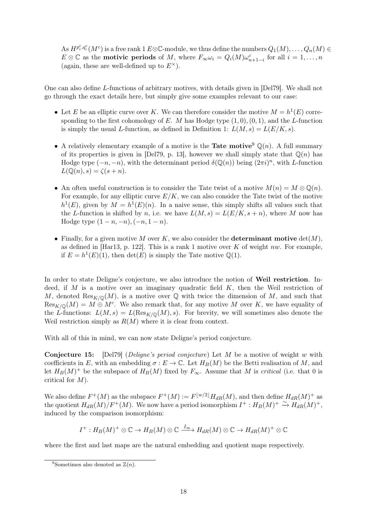As  $H^{p_i^c,q_i^c}(M^c)$  is a free rank 1  $E\otimes\mathbb{C}\text{-module}$ , we thus define the numbers  $Q_1(M),\ldots,Q_n(M)\in$  $E \otimes \mathbb{C}$  as the **motivic periods** of M, where  $F_{\infty} \omega_i = Q_i(M) \omega_{n+1-i}^c$  for all  $i = 1, ..., n$ (again, these are well-defined up to  $E^{\times}$ ).

One can also define L-functions of arbitrary motives, with details given in [Del79]. We shall not go through the exact details here, but simply give some examples relevant to our case:

- Let E be an elliptic curve over K. We can therefore consider the motive  $M = h<sup>1</sup>(E)$  corresponding to the first cohomology of E. M has Hodge type  $(1, 0), (0, 1)$ , and the L-function is simply the usual L-function, as defined in Definition 1:  $L(M, s) = L(E/K, s)$ .
- A relatively elementary example of a motive is the **Tate motive**  $\mathbb{Q}(n)$ . A full summary of its properties is given in [Del79, p. 13], however we shall simply state that  $\mathbb{Q}(n)$  has Hodge type  $(-n, -n)$ , with the determinant period  $\delta(\mathbb{Q}(n))$  being  $(2\pi i)^n$ , with L-function  $L(Q(n), s) = \zeta(s+n).$
- An often useful construction is to consider the Tate twist of a motive  $M(n) = M \otimes \mathbb{Q}(n)$ . For example, for any elliptic curve  $E/K$ , we can also consider the Tate twist of the motive  $h^1(E)$ , given by  $M = h^1(E)(n)$ . In a naive sense, this simply shifts all values such that the L-function is shifted by n, i.e. we have  $L(M, s) = L(E/K, s + n)$ , where M now has Hodge type  $(1 - n, -n), (-n, 1 - n)$ .
- Finally, for a given motive M over K, we also consider the determinant motive  $det(M)$ , as defined in [Har13, p. 122]. This is a rank 1 motive over K of weight nw. For example, if  $E = h<sup>1</sup>(E)(1)$ , then  $\det(E)$  is simply the Tate motive  $\mathbb{Q}(1)$ .

In order to state Deligne's conjecture, we also introduce the notion of Weil restriction. Indeed, if  $M$  is a motive over an imaginary quadratic field  $K$ , then the Weil restriction of M, denoted  $\text{Res}_{K/\mathbb{Q}}(M)$ , is a motive over  $\mathbb Q$  with twice the dimension of M, and such that  $\text{Res}_{K/\mathbb{Q}}(M) = M \oplus M^c$ . We also remark that, for any motive M over K, we have equality of the L-functions:  $L(M, s) = L(\text{Res}_{K/\mathbb{Q}}(M), s)$ . For brevity, we will sometimes also denote the Weil restriction simply as  $R(M)$  where it is clear from context.

With all of this in mind, we can now state Deligne's period conjecture.

**Conjecture 15:** [Del79] (Deligne's period conjecture) Let M be a motive of weight w with coefficients in E, with an embedding  $\sigma : E \to \mathbb{C}$ . Let  $H_B(M)$  be the Betti realisation of M, and let  $H_B(M)^+$  be the subspace of  $H_B(M)$  fixed by  $F_{\infty}$ . Assume that M is *critical* (i.e. that 0 is critical for M).

We also define  $F^+(M)$  as the subspace  $F^+(M) := F^{\lfloor w/2 \rfloor} H_{dR}(M)$ , and then define  $H_{dR}(M)^+$  as the quotient  $H_{dR}(M)/F^+(M)$ . We now have a period isomorphism  $I^+ : H_B(M)^+ \stackrel{\sim}{\rightarrow} H_{dR}(M)^+,$ induced by the comparison isomorphism:

$$
I^+ : H_B(M)^+ \otimes \mathbb{C} \to H_B(M) \otimes \mathbb{C} \xrightarrow{I_{\infty}} H_{dR}(M) \otimes \mathbb{C} \to H_{dR}(M)^+ \otimes \mathbb{C}
$$

where the first and last maps are the natural embedding and quotient maps respectively.

<sup>&</sup>lt;sup>9</sup>Sometimes also denoted as  $\mathbb{Z}(n)$ .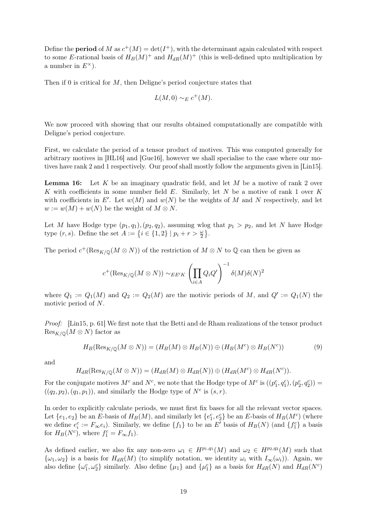Define the **period** of M as  $c^+(M) = \det(I^+)$ , with the determinant again calculated with respect to some E-rational basis of  $H_B(M)^+$  and  $H_{dR}(M)^+$  (this is well-defined upto multiplication by a number in  $E^{\times}$ ).

Then if 0 is critical for  $M$ , then Deligne's period conjecture states that

$$
L(M,0) \sim_E c^+(M).
$$

We now proceed with showing that our results obtained computationally are compatible with Deligne's period conjecture.

First, we calculate the period of a tensor product of motives. This was computed generally for arbitrary motives in [HL16] and [Gue16], however we shall specialise to the case where our motives have rank 2 and 1 respectively. Our proof shall mostly follow the arguments given in [Lin15].

**Lemma 16:** Let K be an imaginary quadratic field, and let M be a motive of rank 2 over K with coefficients in some number field  $E$ . Similarly, let N be a motive of rank 1 over K with coefficients in E'. Let  $w(M)$  and  $w(N)$  be the weights of M and N respectively, and let  $w := w(M) + w(N)$  be the weight of  $M \otimes N$ .

Let M have Hodge type  $(p_1, q_1), (p_2, q_2)$ , assuming wlog that  $p_1 > p_2$ , and let N have Hodge type  $(r, s)$ . Define the set  $A := \{i \in \{1, 2\} | p_i + r > \frac{\omega}{2} \}.$ 

The period  $c^+(\text{Res}_{K/\mathbb{Q}}(M\otimes N))$  of the restriction of  $M\otimes N$  to  $\mathbb{Q}$  can then be given as

$$
c^{+}({\rm Res}_{K/{\mathbb Q}}(M\otimes N))\sim_{EE'K} \left(\prod_{i\in A}Q_iQ'\right)^{-1}\delta(M)\delta(N)^2
$$

where  $Q_1 := Q_1(M)$  and  $Q_2 := Q_2(M)$  are the motivic periods of M, and  $Q' := Q_1(N)$  the motivic period of N.

Proof: [Lin15, p. 61] We first note that the Betti and de Rham realizations of the tensor product  $\text{Res}_{K/\mathbb{Q}}(M \otimes N)$  factor as

$$
H_B(\text{Res}_{K/\mathbb{Q}}(M \otimes N)) = (H_B(M) \otimes H_B(N)) \oplus (H_B(M^c) \otimes H_B(N^c))
$$
(9)

and

$$
H_{dR}(\text{Res}_{K/\mathbb{Q}}(M\otimes N))=(H_{dR}(M)\otimes H_{dR}(N))\oplus (H_{dR}(M^{c})\otimes H_{dR}(N^{c})).
$$

For the conjugate motives  $M^c$  and  $N^c$ , we note that the Hodge type of  $M^c$  is  $((p_1^c, q_1^c), (p_2^c, q_2^c)) =$  $((q_2, p_2), (q_1, p_1)),$  and similarly the Hodge type of  $N^c$  is  $(s, r)$ .

In order to explicitly calculate periods, we must first fix bases for all the relevant vector spaces. Let  $\{e_1, e_2\}$  be an E-basis of  $H_B(M)$ , and similarly let  $\{e_1^c, e_2^c\}$  be an E-basis of  $H_B(M^c)$  (where we define  $e_i^c := F_\infty e_i$ ). Similarly, we define  $\{f_1\}$  to be an E' basis of  $H_B(N)$  (and  $\{f_1^c\}$ ) a basis for  $H_B(N^c)$ , where  $f_1^c = F_{\infty} f_1$ .

As defined earlier, we also fix any non-zero  $\omega_1 \in H^{p_1,q_1}(M)$  and  $\omega_2 \in H^{p_2,q_2}(M)$  such that  $\{\omega_1,\omega_2\}$  is a basis for  $H_{dR}(M)$  (to simplify notation, we identity  $\omega_i$  with  $I_{\infty}(\omega_i)$ ). Again, we also define  $\{\omega_1^c, \omega_2^c\}$  similarly. Also define  $\{\mu_1\}$  and  $\{\mu_1^c\}$  as a basis for  $H_{dR}(N)$  and  $H_{dR}(N^c)$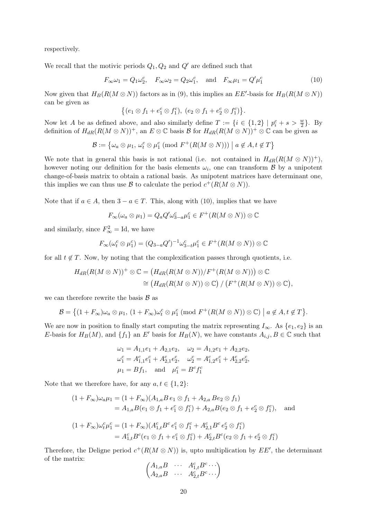respectively.

We recall that the motivic periods  $Q_1, Q_2$  and  $Q'$  are defined such that

$$
F_{\infty}\omega_1 = Q_1\omega_2^c, \quad F_{\infty}\omega_2 = Q_2\omega_1^c, \quad \text{and} \quad F_{\infty}\mu_1 = Q'\mu_1^c \tag{10}
$$

Now given that  $H_B(R(M \otimes N))$  factors as in (9), this implies an  $EE'$ -basis for  $H_B(R(M \otimes N))$ can be given as

$$
\{(e_1 \otimes f_1 + e_1^c \otimes f_1^c), (e_2 \otimes f_1 + e_2^c \otimes f_1^c)\}.
$$

Now let A be as defined above, and also similarly define  $T := \{i \in \{1,2\} \mid p_i^c + s > \frac{w}{2}\}\.$  By definition of  $H_{dR}(R(M \otimes N))^+$ , an  $E \otimes \mathbb{C}$  basis  $\mathcal{B}$  for  $H_{dR}(R(M \otimes N))^+ \otimes \mathbb{C}$  can be given as

$$
\mathcal{B} := \{ \omega_a \otimes \mu_1, \, \omega_t^c \otimes \mu_1^c \; (\text{mod } F^+(R(M \otimes N))) \; \mid a \notin A, t \notin T \}
$$

We note that in general this basis is not rational (i.e. not contained in  $H_{dR}(R(M \otimes N))^+$ ), however noting our definition for the basis elements  $\omega_i$ , one can transform  $\beta$  by a unipotent change-of-basis matrix to obtain a rational basis. As unipotent matrices have determinant one, this implies we can thus use B to calculate the period  $c^+(R(M \otimes N))$ .

Note that if  $a \in A$ , then  $3 - a \in T$ . This, along with (10), implies that we have

$$
F_{\infty}(\omega_a \otimes \mu_1) = Q_a Q' \omega_{3-a}^c \mu_1^c \in F^+(R(M \otimes N)) \otimes \mathbb{C}
$$

and similarly, since  $F_{\infty}^2 = \text{Id}$ , we have

$$
F_{\infty}(\omega_t^c \otimes \mu_1^c) = (Q_{3-a}Q')^{-1}\omega_{3-t}^c \mu_1^c \in F^+(R(M \otimes N)) \otimes \mathbb{C}
$$

for all  $t \notin T$ . Now, by noting that the complexification passes through quotients, i.e.

$$
H_{dR}(R(M \otimes N))^+ \otimes \mathbb{C} = (H_{dR}(R(M \otimes N))/F^+(R(M \otimes N))) \otimes \mathbb{C}
$$
  
\n
$$
\cong (H_{dR}(R(M \otimes N)) \otimes \mathbb{C}) / (F^+(R(M \otimes N)) \otimes \mathbb{C}),
$$

we can therefore rewrite the basis  $\beta$  as

$$
\mathcal{B} = \left\{ (1 + F_{\infty}) \omega_a \otimes \mu_1, (1 + F_{\infty}) \omega_t^c \otimes \mu_1^c \pmod{F^+(R(M \otimes N)) \otimes \mathbb{C}} \mid a \notin A, t \notin T \right\}.
$$

We are now in position to finally start computing the matrix representing  $I_{\infty}$ . As  $\{e_1, e_2\}$  is an E-basis for  $H_B(M)$ , and  $\{f_1\}$  an E' basis for  $H_B(N)$ , we have constants  $A_{i,j}, B \in \mathbb{C}$  such that

$$
\omega_1 = A_{1,1}e_1 + A_{2,1}e_2, \quad \omega_2 = A_{1,2}e_1 + A_{2,2}e_2,
$$
  
\n
$$
\omega_1^c = A_{1,1}^c e_1^c + A_{2,1}^c e_2^c, \quad \omega_2^c = A_{1,2}^c e_1^c + A_{2,2}^c e_2^c,
$$
  
\n
$$
\mu_1 = Bf_1, \quad \text{and} \quad \mu_1^c = B^c f_1^c
$$

Note that we therefore have, for any  $a, t \in \{1, 2\}$ :

$$
(1 + F_{\infty})\omega_a \mu_1 = (1 + F_{\infty})(A_{1,a}B e_1 \otimes f_1 + A_{2,a}Be_2 \otimes f_1)
$$
  
=  $A_{1,a}B(e_1 \otimes f_1 + e_1^c \otimes f_1^c) + A_{2,a}B(e_2 \otimes f_1 + e_2^c \otimes f_1^c)$ , and

$$
(1 + F_{\infty})\omega_t^c \mu_1^c = (1 + F_{\infty})(A_{1,t}^c B^c e_1^c \otimes f_1^c + A_{2,1}^c B^c e_2^c \otimes f_1^c)
$$
  
=  $A_{1,t}^c B^c (e_1 \otimes f_1 + e_1^c \otimes f_1^c) + A_{2,t}^c B^c (e_2 \otimes f_1 + e_2^c \otimes f_1^c)$ 

Therefore, the Deligne period  $c^+(R(M \otimes N))$  is, upto multiplication by  $EE'$ , the determinant of the matrix:

$$
\begin{pmatrix} A_{1,a}B & \cdots & A_{1,t}^cB^c \cdots \\ A_{2,a}B & \cdots & A_{2,t}^cB^c \cdots \end{pmatrix}
$$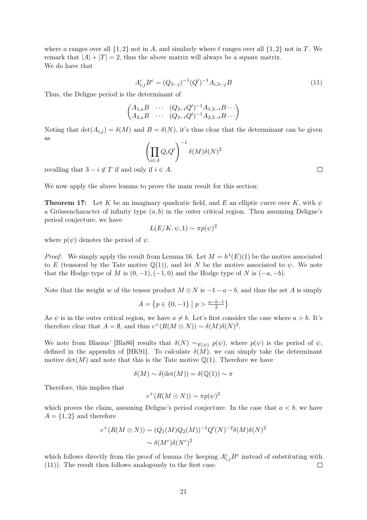where a ranges over all  $\{1, 2\}$  not in A, and similarly where t ranges over all  $\{1, 2\}$  not in T. We remark that  $|A| + |T| = 2$ , thus the above matrix will always be a square matrix. We do have that

$$
A_{i,j}^c B^c = (Q_{3-j})^{-1} (Q')^{-1} A_{i,3-j} B \tag{11}
$$

Thus, the Deligne period is the determinant of

$$
\begin{pmatrix} A_{1,a}B & \cdots & (Q_{3-t}Q')^{-1}A_{1,3-t}B \cdots \\ A_{2,a}B & \cdots & (Q_{3-t}Q')^{-1}A_{2,3-t}B \cdots \end{pmatrix}
$$

Noting that  $\det(A_{i,j}) = \delta(M)$  and  $B = \delta(N)$ , it's thus clear that the determinant can be given as

$$
\left(\prod_{i\in A} Q_i Q'\right)^{-1} \delta(M) \delta(N)^2
$$

recalling that  $3 - i \notin T$  if and only if  $i \in A$ .

We now apply the above lemma to prove the main result for this section:

**Theorem 17:** Let K be an imaginary quadratic field, and E an elliptic curve over K, with  $\psi$ a Grössencharacter of infinity type  $(a, b)$  in the outer critical region. Then assuming Deligne's period conjecture, we have  $\overline{\mathbf{2}}$ 

$$
L(E/K, \psi, 1) \sim \pi p(\psi)^2
$$

where  $p(\psi)$  denotes the period of  $\psi$ .

*Proof:* We simply apply the result from Lemma 16. Let  $M = h^1(E)(1)$  be the motive associated to E (tensored by the Tate motive  $\mathbb{Q}(1)$ ), and let N be the motive associated to  $\psi$ . We note that the Hodge type of M is  $(0, -1), (-1, 0)$  and the Hodge type of N is  $(-a, -b)$ .

Note that the weight w of the tensor product  $M \otimes N$  is  $-1-a-b$ , and thus the set A is simply

$$
A = \{ p \in \{0, -1\} \mid p > \frac{a - b - 1}{2} \}
$$

As  $\psi$  is in the outer critical region, we have  $a \neq b$ . Let's first consider the case where  $a > b$ . It's therefore clear that  $A = \emptyset$ , and thus  $c^+(R(M \otimes N)) \sim \delta(M)\delta(N)^2$ .

We note from Blasius' [Bla86] results that  $\delta(N) \sim_{E(\psi)} p(\psi)$ , where  $p(\psi)$  is the period of  $\psi$ , defined in the appendix of [HK91]. To calculate  $\delta(M)$ , we can simply take the determinant motive  $\det(M)$  and note that this is the Tate motive  $\mathbb{Q}(1)$ . Therefore we have

$$
\delta(M) \sim \delta(\det(M)) = \delta({\mathbb Q}(1)) \sim \pi
$$

Therefore, this implies that

$$
c^+(R(M\otimes N))\sim \pi p(\psi)^2
$$

which proves the claim, assuming Deligne's period conjecture. In the case that  $a < b$ , we have  $A = \{1, 2\}$  and therefore

$$
c^+(R(M \otimes N)) \sim (Q_1(M)Q_2(M))^{-1}Q'(N)^{-2}\delta(M)\delta(N)^2
$$

$$
\sim \delta(M^c)\delta(N^c)^2
$$

which follows directly from the proof of lemma (by keeping  $A_{i,j}^c B^c$  instead of substituting with (11)). The result then follows analogously to the first case.  $\Box$ 

 $\Box$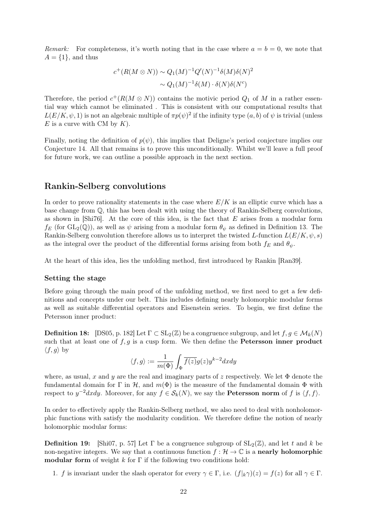Remark: For completeness, it's worth noting that in the case where  $a = b = 0$ , we note that  $A = \{1\}$ , and thus

$$
c^+(R(M \otimes N)) \sim Q_1(M)^{-1}Q'(N)^{-1}\delta(M)\delta(N)^2
$$

$$
\sim Q_1(M)^{-1}\delta(M) \cdot \delta(N)\delta(N^c)
$$

Therefore, the period  $c^+(R(M \otimes N))$  contains the motivic period  $Q_1$  of M in a rather essential way which cannot be eliminated . This is consistent with our computational results that  $L(E/K, \psi, 1)$  is not an algebraic multiple of  $\pi p(\psi)^2$  if the infinity type  $(a, b)$  of  $\psi$  is trivial (unless  $E$  is a curve with CM by  $K$ ).

Finally, noting the definition of  $p(\psi)$ , this implies that Deligne's period conjecture implies our Conjecture 14. All that remains is to prove this unconditionally. Whilst we'll leave a full proof for future work, we can outline a possible approach in the next section.

### Rankin-Selberg convolutions

In order to prove rationality statements in the case where  $E/K$  is an elliptic curve which has a base change from Q, this has been dealt with using the theory of Rankin-Selberg convolutions, as shown in [Shi76]. At the core of this idea, is the fact that  $E$  arises from a modular form  $f_E$  (for  $GL_2(\mathbb{Q})$ ), as well as  $\psi$  arising from a modular form  $\theta_{\psi}$  as defined in Definition 13. The Rankin-Selberg convolution therefore allows us to interpret the twisted L-function  $L(E/K, \psi, s)$ as the integral over the product of the differential forms arising from both  $f_E$  and  $\theta_{\psi}$ .

At the heart of this idea, lies the unfolding method, first introduced by Rankin [Ran39].

#### Setting the stage

Before going through the main proof of the unfolding method, we first need to get a few definitions and concepts under our belt. This includes defining nearly holomorphic modular forms as well as suitable differential operators and Eisenstein series. To begin, we first define the Petersson inner product:

**Definition 18:** [DS05, p. 182] Let  $\Gamma \subset SL_2(\mathbb{Z})$  be a congruence subgroup, and let  $f, g \in \mathcal{M}_k(N)$ such that at least one of  $f, g$  is a cusp form. We then define the **Petersson inner product**  $\langle f, g \rangle$  by

$$
\langle f, g \rangle := \frac{1}{m(\Phi)} \int_{\Phi} \overline{f(z)} g(z) y^{k-2} dx dy
$$

where, as usual, x and y are the real and imaginary parts of z respectively. We let  $\Phi$  denote the fundamental domain for Γ in H, and  $m(\Phi)$  is the measure of the fundamental domain  $\Phi$  with respect to  $y^{-2}dxdy$ . Moreover, for any  $f \in \mathcal{S}_k(N)$ , we say the **Petersson norm** of f is  $\langle f, f \rangle$ .

In order to effectively apply the Rankin-Selberg method, we also need to deal with nonholomorphic functions with satisfy the modularity condition. We therefore define the notion of nearly holomorphic modular forms:

**Definition 19:** [Shi07, p. 57] Let  $\Gamma$  be a congruence subgroup of  $SL_2(\mathbb{Z})$ , and let t and k be non-negative integers. We say that a continuous function  $f : \mathcal{H} \to \mathbb{C}$  is a **nearly holomorphic** modular form of weight  $k$  for  $\Gamma$  if the following two conditions hold:

1. f is invariant under the slash operator for every  $\gamma \in \Gamma$ , i.e.  $(f|_k \gamma)(z) = f(z)$  for all  $\gamma \in \Gamma$ .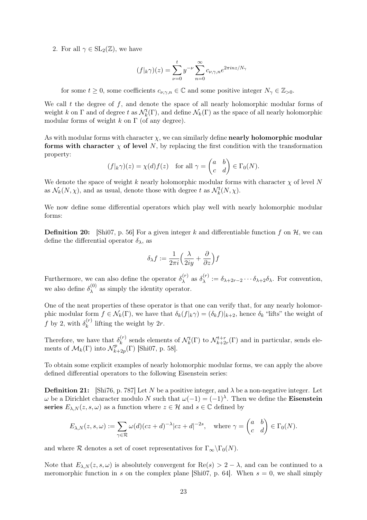2. For all  $\gamma \in SL_2(\mathbb{Z})$ , we have

$$
(f|_{k}\gamma)(z) = \sum_{\nu=0}^{t} y^{-\nu} \sum_{n=0}^{\infty} c_{\nu,\gamma,n} e^{2\pi i n z/N_{\gamma}}
$$

for some  $t \geq 0$ , some coefficients  $c_{\nu,\gamma,n} \in \mathbb{C}$  and some positive integer  $N_{\gamma} \in \mathbb{Z}_{>0}$ .

We call  $t$  the degree of  $f$ , and denote the space of all nearly holomorphic modular forms of weight k on  $\Gamma$  and of degree t as  $\mathcal{N}_k^t(\Gamma)$ , and define  $\mathcal{N}_k(\Gamma)$  as the space of all nearly holomorphic modular forms of weight k on  $\Gamma$  (of any degree).

As with modular forms with character  $\chi$ , we can similarly define **nearly holomorphic modular** forms with character  $\chi$  of level N, by replacing the first condition with the transformation property:

$$
(f|_{k}\gamma)(z) = \chi(d)f(z)
$$
 for all  $\gamma = \begin{pmatrix} a & b \\ c & d \end{pmatrix} \in \Gamma_0(N)$ .

We denote the space of weight k nearly holomorphic modular forms with character  $\chi$  of level N as  $\mathcal{N}_k(N, \chi)$ , and as usual, denote those with degree t as  $\mathcal{N}_k^t(N, \chi)$ .

We now define some differential operators which play well with nearly holomorphic modular forms:

**Definition 20:** [Shi07, p. 56] For a given integer k and differentiable function f on  $\mathcal{H}$ , we can define the differential operator  $\delta_{\lambda}$ , as

$$
\delta_{\lambda}f := \frac{1}{2\pi i} \Big( \frac{\lambda}{2iy} + \frac{\partial}{\partial z} \Big) f
$$

Furthermore, we can also define the operator  $\delta_{\lambda}^{(r)}$  $\delta_\lambda^{(r)}$  as  $\delta_\lambda^{(r)}$  $\lambda^{(r)} := \delta_{\lambda+2r-2} \cdots \delta_{\lambda+2} \delta_{\lambda}$ . For convention, we also define  $\delta_{\lambda}^{(0)}$  $\lambda^{(0)}$  as simply the identity operator.

One of the neat properties of these operator is that one can verify that, for any nearly holomorphic modular form  $f \in \mathcal{N}_k(\Gamma)$ , we have that  $\delta_k(f|_k \gamma) = (\delta_k f)|_{k+2}$ , hence  $\delta_k$  "lifts" the weight of f by 2, with  $\delta_k^{(r)}$  $\binom{r}{k}$  lifting the weight by 2r.

Therefore, we have that  $\delta_k^{(r)}$  $\mathcal{N}_k^{(r)}$  sends elements of  $\mathcal{N}_k^{t}(\Gamma)$  to  $\mathcal{N}_{k+2}^{t+r}$  $\mathcal{L}_{k+2r}^{t+r}(\Gamma)$  and in particular, sends elements of  $\mathcal{M}_k(\Gamma)$  into  $\mathcal{N}_k^p$  $T_{k+2p}^p(\Gamma)$  [Shi07, p. 58].

To obtain some explicit examples of nearly holomorphic modular forms, we can apply the above defined differential operators to the following Eisenstein series:

**Definition 21:** [Shi76, p. 787] Let N be a positive integer, and  $\lambda$  be a non-negative integer. Let  $\omega$  be a Dirichlet character modulo N such that  $\omega(-1) = (-1)^{\lambda}$ . Then we define the Eisenstein series  $E_{\lambda,N}(z,s,\omega)$  as a function where  $z \in \mathcal{H}$  and  $s \in \mathbb{C}$  defined by

$$
E_{\lambda,N}(z,s,\omega) := \sum_{\gamma \in \mathcal{R}} \omega(d)(cz+d)^{-\lambda}|cz+d|^{-2s}, \quad \text{where } \gamma = \begin{pmatrix} a & b \\ c & d \end{pmatrix} \in \Gamma_0(N).
$$

and where R denotes a set of coset representatives for  $\Gamma_{\infty}\backslash\Gamma_0(N)$ .

Note that  $E_{\lambda,N}(z, s, \omega)$  is absolutely convergent for  $\text{Re}(s) > 2 - \lambda$ , and can be continued to a meromorphic function in s on the complex plane [Shi07, p. 64]. When  $s = 0$ , we shall simply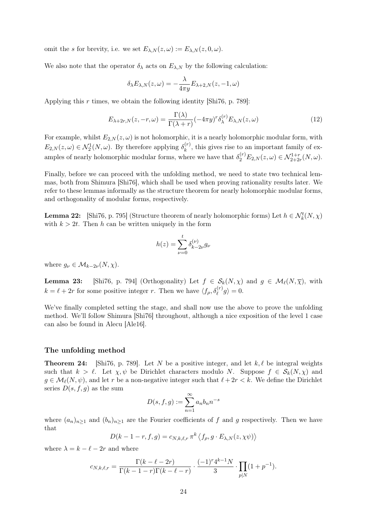omit the s for brevity, i.e. we set  $E_{\lambda,N}(z,\omega) := E_{\lambda,N}(z,0,\omega)$ .

We also note that the operator  $\delta_{\lambda}$  acts on  $E_{\lambda,N}$  by the following calculation:

$$
\delta_{\lambda}E_{\lambda,N}(z,\omega)=-\frac{\lambda}{4\pi y}E_{\lambda+2,N}(z,-1,\omega)
$$

Applying this r times, we obtain the following identity [Shi76, p. 789]:

$$
E_{\lambda+2r,N}(z,-r,\omega) = \frac{\Gamma(\lambda)}{\Gamma(\lambda+r)} (-4\pi y)^r \delta_{\lambda}^{(r)} E_{\lambda,N}(z,\omega)
$$
\n(12)

For example, whilst  $E_{2,N}(z,\omega)$  is not holomorphic, it is a nearly holomorphic modular form, with  $E_{2,N}(z,\omega) \in \mathcal{N}_2^1(N,\omega)$ . By therefore applying  $\delta_k^{(r)}$  $\kappa_k^{(r)}$ , this gives rise to an important family of examples of nearly holomorphic modular forms, where we have that  $\delta_2^{(r)} E_{2,N}(z,\omega) \in \mathcal{N}_{2+2r}^{1+r}(N,\omega)$ .

Finally, before we can proceed with the unfolding method, we need to state two technical lemmas, both from Shimura [Shi76], which shall be used when proving rationality results later. We refer to these lemmas informally as the structure theorem for nearly holomorphic modular forms, and orthogonality of modular forms, respectively.

**Lemma 22:** [Shi76, p. 795] (Structure theorem of nearly holomorphic forms) Let  $h \in \mathcal{N}_k^t(N, \chi)$ with  $k > 2t$ . Then h can be written uniquely in the form

$$
h(z) = \sum_{\nu=0}^{t} \delta_{k-2\nu}^{(\nu)} g_{\nu}
$$

where  $g_{\nu} \in \mathcal{M}_{k-2\nu}(N, \chi)$ .

**Lemma 23:** [Shi76, p. 794] (Orthogonality) Let  $f \in S_k(N, \chi)$  and  $g \in \mathcal{M}_\ell(N, \overline{\chi})$ , with  $k = \ell + 2r$  for some positive integer r. Then we have  $\langle f_{\rho}, \delta_{\ell}^{(r)} g \rangle = 0$ .

We've finally completed setting the stage, and shall now use the above to prove the unfolding method. We'll follow Shimura [Shi76] throughout, although a nice exposition of the level 1 case can also be found in Alecu [Ale16].

#### The unfolding method

**Theorem 24:** [Shi76, p. 789]. Let N be a positive integer, and let  $k, \ell$  be integral weights such that  $k > \ell$ . Let  $\chi, \psi$  be Dirichlet characters modulo N. Suppose  $f \in S_k(N, \chi)$  and  $g \in \mathcal{M}_{\ell}(N, \psi)$ , and let r be a non-negative integer such that  $\ell + 2r < k$ . We define the Dirichlet series  $D(s, f, g)$  as the sum

$$
D(s, f, g) := \sum_{n=1}^{\infty} a_n b_n n^{-s}
$$

where  $(a_n)_{n\geq 1}$  and  $(b_n)_{n\geq 1}$  are the Fourier coefficients of f and g respectively. Then we have that

$$
D(k-1-r, f, g) = c_{N,k,\ell,r} \pi^k \left\langle f_\rho, g \cdot E_{\lambda, N}(z, \chi \psi) \right\rangle
$$

where  $\lambda = k - \ell - 2r$  and where

$$
c_{N,k,\ell,r} = \frac{\Gamma(k-\ell-2r)}{\Gamma(k-1-r)\Gamma(k-\ell-r)} \cdot \frac{(-1)^r 4^{k-1} N}{3} \cdot \prod_{p|N} (1+p^{-1}).
$$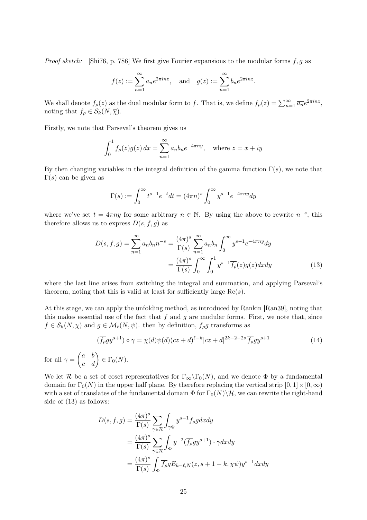*Proof sketch:* [Shi76, p. 786] We first give Fourier expansions to the modular forms  $f, g$  as

$$
f(z) := \sum_{n=1}^{\infty} a_n e^{2\pi i n z}
$$
, and  $g(z) := \sum_{n=1}^{\infty} b_n e^{2\pi i n z}$ .

We shall denote  $f_{\rho}(z)$  as the dual modular form to f. That is, we define  $f_{\rho}(z) = \sum_{n=1}^{\infty} \overline{a_n} e^{2\pi i n z}$ , noting that  $f_{\rho} \in \mathcal{S}_k(N, \overline{\chi}).$ 

Firstly, we note that Parseval's theorem gives us

$$
\int_0^1 \overline{f_\rho(z)} g(z) \, dx = \sum_{n=1}^\infty a_n b_n e^{-4\pi ny}, \quad \text{where } z = x + iy
$$

By then changing variables in the integral definition of the gamma function  $\Gamma(s)$ , we note that  $\Gamma(s)$  can be given as

$$
\Gamma(s) := \int_0^\infty t^{s-1} e^{-t} dt = (4\pi n)^s \int_0^\infty y^{s-1} e^{-4\pi ny} dy
$$

where we've set  $t = 4\pi ny$  for some arbitrary  $n \in \mathbb{N}$ . By using the above to rewrite  $n^{-s}$ , this therefore allows us to express  $D(s, f, g)$  as

$$
D(s, f, g) = \sum_{n=1}^{\infty} a_n b_n n^{-s} = \frac{(4\pi)^s}{\Gamma(s)} \sum_{n=1}^{\infty} a_n b_n \int_0^{\infty} y^{s-1} e^{-4\pi ny} dy
$$

$$
= \frac{(4\pi)^s}{\Gamma(s)} \int_0^{\infty} \int_0^1 y^{s-1} \overline{f_\rho}(z) g(z) dx dy \tag{13}
$$

where the last line arises from switching the integral and summation, and applying Parseval's theorem, noting that this is valid at least for sufficiently large  $Re(s)$ .

At this stage, we can apply the unfolding method, as introduced by Rankin [Ran39], noting that this makes essential use of the fact that  $f$  and  $g$  are modular forms. First, we note that, since  $f \in \mathcal{S}_k(N, \chi)$  and  $g \in \mathcal{M}_\ell(N, \psi)$ . then by definition,  $\overline{f_\rho}g$  transforms as

$$
(\overline{f_{\rho}}gy^{s+1}) \circ \gamma = \chi(d)\psi(d)(cz+d)^{\ell-k}|cz+d|^{2k-2-2s}\overline{f_{\rho}}gy^{s+1}
$$
\n
$$
b) \quad \text{or} \quad \chi(d) \quad \text{(14)}
$$

for all  $\gamma = \begin{pmatrix} a & b \ c & d \end{pmatrix} \in \Gamma_0(N)$ .

We let R be a set of coset representatives for  $\Gamma_{\infty}\backslash\Gamma_0(N)$ , and we denote  $\Phi$  by a fundamental domain for  $\Gamma_0(N)$  in the upper half plane. By therefore replacing the vertical strip  $[0, 1] \times [0, \infty)$ with a set of translates of the fundamental domain  $\Phi$  for  $\Gamma_0(N)\backslash\mathcal{H}$ , we can rewrite the right-hand side of (13) as follows:

$$
D(s, f, g) = \frac{(4\pi)^s}{\Gamma(s)} \sum_{\gamma \in \mathcal{R}} \int_{\gamma \Phi} y^{s-1} \overline{f_{\rho}} g dx dy
$$
  
= 
$$
\frac{(4\pi)^s}{\Gamma(s)} \sum_{\gamma \in \mathcal{R}} \int_{\Phi} y^{-2} (\overline{f_{\rho}} g y^{s+1}) \cdot \gamma dx dy
$$
  
= 
$$
\frac{(4\pi)^s}{\Gamma(s)} \int_{\Phi} \overline{f_{\rho}} g E_{k-\ell, N}(z, s+1-k, \chi \psi) y^{s-1} dx dy
$$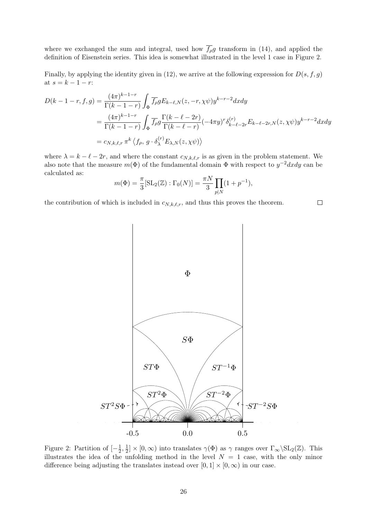where we exchanged the sum and integral, used how  $\overline{f_{\rho}}g$  transform in (14), and applied the definition of Eisenstein series. This idea is somewhat illustrated in the level 1 case in Figure 2.

Finally, by applying the identity given in (12), we arrive at the following expression for  $D(s, f, g)$ at  $s = k - 1 - r$ :

$$
D(k - 1 - r, f, g) = \frac{(4\pi)^{k - 1 - r}}{\Gamma(k - 1 - r)} \int_{\Phi} \overline{f_{\rho}} g E_{k - \ell, N}(z, -r, \chi\psi) y^{k - r - 2} dx dy
$$
  
= 
$$
\frac{(4\pi)^{k - 1 - r}}{\Gamma(k - 1 - r)} \int_{\Phi} \overline{f_{\rho}} g \frac{\Gamma(k - \ell - 2r)}{\Gamma(k - \ell - r)} (-4\pi y)^{r} \delta_{k - \ell - 2r}^{(r)} E_{k - \ell - 2r, N}(z, \chi\psi) y^{k - r - 2} dx dy
$$
  
=  $c_{N, k, \ell, r} \pi^{k} \langle f_{\rho}, g \cdot \delta_{\lambda}^{(r)} E_{\lambda, N}(z, \chi\psi) \rangle$ 

where  $\lambda = k - \ell - 2r$ , and where the constant  $c_{N,k,\ell,r}$  is as given in the problem statement. We also note that the measure  $m(\Phi)$  of the fundamental domain  $\Phi$  with respect to  $y^{-2}dxdy$  can be calculated as:

$$
m(\Phi) = \frac{\pi}{3} [\text{SL}_2(\mathbb{Z}) : \Gamma_0(N)] = \frac{\pi N}{3} \prod_{p|N} (1 + p^{-1}),
$$

the contribution of which is included in  $c_{N,k,\ell,r}$ , and thus this proves the theorem.





Figure 2: Partition of  $\left[-\frac{1}{2}\right]$  $\frac{1}{2}, \frac{1}{2}$  $\frac{1}{2} \times [0, \infty)$  into translates  $\gamma(\Phi)$  as  $\gamma$  ranges over  $\Gamma_{\infty} \backslash \mathrm{SL}_2(\mathbb{Z})$ . This illustrates the idea of the unfolding method in the level  $N = 1$  case, with the only minor difference being adjusting the translates instead over  $[0, 1] \times [0, \infty)$  in our case.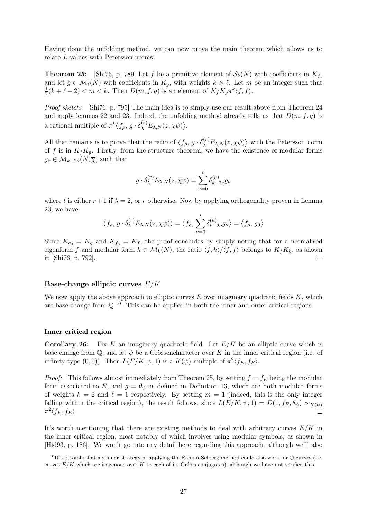Having done the unfolding method, we can now prove the main theorem which allows us to relate L-values with Petersson norms:

**Theorem 25:** [Shi76, p. 789] Let f be a primitive element of  $\mathcal{S}_k(N)$  with coefficients in  $K_f$ , and let  $g \in \mathcal{M}_{\ell}(N)$  with coefficients in  $K_g$ , with weights  $k > \ell$ . Let m be an integer such that 1  $\frac{1}{2}(k+\ell-2) < m < k$ . Then  $D(m, f, g)$  is an element of  $K_f K_g \pi^k \langle f, f \rangle$ .

Proof sketch: [Shi76, p. 795] The main idea is to simply use our result above from Theorem 24 and apply lemmas 22 and 23. Indeed, the unfolding method already tells us that  $D(m, f, g)$  is a rational multiple of  $\pi^k \langle f_\rho, g \cdot \delta_\lambda^{(r)} E_{\lambda,N}(z,\chi \psi) \rangle$ .

All that remains is to prove that the ratio of  $\langle f_{\rho}, g \cdot \delta_{\lambda}^{(r)} E_{\lambda,N}(z,\chi\psi) \rangle$  with the Petersson norm of f is in  $K_fK_g$ . Firstly, from the structure theorem, we have the existence of modular forms  $g_{\nu} \in \mathcal{M}_{k-2\nu}(N,\overline{\chi})$  such that

$$
g\cdot \delta_\lambda^{(r)} E_{\lambda,N}(z,\chi\psi)=\sum_{\nu=0}^t \delta_{k-2\nu}^{(\nu)} g_\nu
$$

where t is either  $r + 1$  if  $\lambda = 2$ , or r otherwise. Now by applying orthogonality proven in Lemma 23, we have

$$
\langle f_{\rho}, g \cdot \delta_{\lambda}^{(r)} E_{\lambda, N}(z, \chi \psi) \rangle = \langle f_{\rho}, \sum_{\nu=0}^{t} \delta_{k-2\nu}^{(\nu)} g_{\nu} \rangle = \langle f_{\rho}, g_{0} \rangle
$$

Since  $K_{g_0} = K_g$  and  $K_{f_p} = K_f$ , the proof concludes by simply noting that for a normalised eigenform f and modular form  $h \in \mathcal{M}_k(N)$ , the ratio  $\langle f, h \rangle / \langle f, f \rangle$  belongs to  $K_f K_h$ , as shown in [Shi76, p. 792].  $\Box$ 

### Base-change elliptic curves  $E/K$

We now apply the above approach to elliptic curves  $E$  over imaginary quadratic fields  $K$ , which are base change from  $\mathbb{Q}^{10}$ . This can be applied in both the inner and outer critical regions.

#### Inner critical region

**Corollary 26:** Fix K an imaginary quadratic field. Let  $E/K$  be an elliptic curve which is base change from  $\mathbb{Q}$ , and let  $\psi$  be a Grössencharacter over K in the inner critical region (i.e. of infinity type  $(0,0)$ ). Then  $L(E/K, \psi, 1)$  is a  $K(\psi)$ -multiple of  $\pi^2 \langle f_E, f_E \rangle$ .

*Proof:* This follows almost immediately from Theorem 25, by setting  $f = f_E$  being the modular form associated to E, and  $g = \theta_{\psi}$  as defined in Definition 13, which are both modular forms of weights  $k = 2$  and  $\ell = 1$  respectively. By setting  $m = 1$  (indeed, this is the only integer falling within the critical region), the result follows, since  $L(E/K, \psi, 1) = D(1, f_E, \theta_{\psi}) \sim_{K(\psi)}$  $\pi^2 \langle f_E, f_E \rangle$ .  $\overline{\Box}$ 

It's worth mentioning that there are existing methods to deal with arbitrary curves  $E/K$  in the inner critical region, most notably of which involves using modular symbols, as shown in [Hid93, p. 186]. We won't go into any detail here regarding this approach, although we'll also

 $10$ It's possible that a similar strategy of applying the Rankin-Selberg method could also work for  $\mathbb Q$ -curves (i.e. curves  $E/K$  which are isogenous over  $\overline{K}$  to each of its Galois conjugates), although we have not verified this.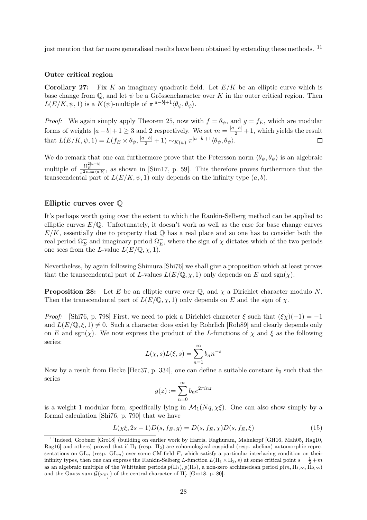just mention that far more generalised results have been obtained by extending these methods. <sup>11</sup>

### Outer critical region

**Corollary 27:** Fix K an imaginary quadratic field. Let  $E/K$  be an elliptic curve which is base change from  $\mathbb{Q}$ , and let  $\psi$  be a Grössencharacter over K in the outer critical region. Then  $L(E/K, \psi, 1)$  is a  $K(\psi)$ -multiple of  $\pi^{|a-b|+1}\langle \theta_{\psi}, \theta_{\psi}\rangle$ .

*Proof:* We again simply apply Theorem 25, now with  $f = \theta_{\psi}$ , and  $g = f_E$ , which are modular forms of weights  $|a-b|+1 \geq 3$  and 2 respectively. We set  $m = \frac{|a-b|}{2} + 1$ , which yields the result that  $L(E/K, \psi, 1) = L(f_E \times \theta_{\psi}, \frac{|a-b|}{2} + 1) \sim_{K(\psi)} \pi^{|a-b|+1} \langle \theta_{\psi}, \theta_{\psi} \rangle$ .

We do remark that one can furthermore prove that the Petersson norm  $\langle \theta_{\psi}, \theta_{\psi} \rangle$  is an algebraic multiple of  $\frac{\Omega_K^{2|a-b|}}{\pi^{2\max(a,b)}}$ , as shown in [Sim17, p. 59]. This therefore proves furthermore that the transcendental part of  $L(E/K, \psi, 1)$  only depends on the infinity type  $(a, b)$ .

### Elliptic curves over Q

It's perhaps worth going over the extent to which the Rankin-Selberg method can be applied to elliptic curves  $E/\mathbb{Q}$ . Unfortunately, it doesn't work as well as the case for base change curves  $E/K$ , essentially due to property that  $\mathbb Q$  has a real place and so one has to consider both the real period  $\Omega_E^+$  $^+_E$  and imaginary period  $\Omega _E^ E$ , where the sign of  $\chi$  dictates which of the two periods one sees from the L-value  $L(E/\mathbb{Q}, \chi, 1)$ .

Nevertheless, by again following Shimura [Shi76] we shall give a proposition which at least proves that the transcendental part of L-values  $L(E/\mathbb{Q}, \chi, 1)$  only depends on E and sgn( $\chi$ ).

**Proposition 28:** Let E be an elliptic curve over  $\mathbb{Q}$ , and  $\chi$  a Dirichlet character modulo N. Then the transcendental part of  $L(E/\mathbb{Q}, \chi, 1)$  only depends on E and the sign of  $\chi$ .

*Proof:* [Shi76, p. 798] First, we need to pick a Dirichlet character  $\xi$  such that  $(\xi \chi)(-1) = -1$ and  $L(E/\mathbb{Q}, \xi, 1) \neq 0$ . Such a character does exist by Rohrlich [Roh89] and clearly depends only on E and sgn(x). We now express the product of the L-functions of  $\chi$  and  $\xi$  as the following series:

$$
L(\chi, s)L(\xi, s) = \sum_{n=1}^{\infty} b_n n^{-s}
$$

Now by a result from Hecke [Hec37, p. 334], one can define a suitable constant  $b_0$  such that the series

$$
g(z):=\sum_{n=0}^\infty b_n e^{2\pi i n z}
$$

is a weight 1 modular form, specifically lying in  $\mathcal{M}_1(Nq,\chi\xi)$ . One can also show simply by a formal calculation [Shi76, p. 790] that we have

$$
L(\chi\xi, 2s - 1)D(s, f_E, g) = D(s, f_E, \chi)D(s, f_E, \xi)
$$
\n(15)

<sup>&</sup>lt;sup>11</sup>Indeed, Grobner [Gro18] (building on earlier work by Harris, Raghuram, Mahnkopf [GH16, Mah05, Rag10, Rag16] and others) proved that if  $\Pi_1$  (resp.  $\Pi_2$ ) are cohomological cuspidial (resp. abelian) automorphic representations on  $GL_n$  (resp.  $GL_m$ ) over some CM-field F, which satisfy a particular interlacing condition on their infinity types, then one can express the Rankin-Selberg L-function  $L(\Pi_1 \times \Pi_2, s)$  at some critical point  $s = \frac{1}{2} + m$ as an algebraic multiple of the Whittaker periods  $p(\Pi_1), p(\Pi_2)$ , a non-zero archimedean period  $p(m, \Pi_{1,\infty}, \Pi_{2,\infty})$ and the Gauss sum  $\mathcal{G}(\omega_{\Pi'_f})$  of the central character of  $\Pi'_f$  [Gro18, p. 80].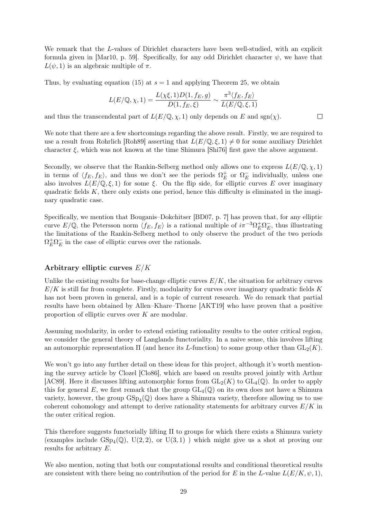We remark that the L-values of Dirichlet characters have been well-studied, with an explicit formula given in [Mar10, p. 59]. Specifically, for any odd Dirichlet character  $\psi$ , we have that  $L(\psi, 1)$  is an algebraic multiple of  $\pi$ .

Thus, by evaluating equation (15) at  $s = 1$  and applying Theorem 25, we obtain

$$
L(E/\mathbb{Q}, \chi, 1) = \frac{L(\chi\xi, 1)D(1, f_E, g)}{D(1, f_E, \xi)} \sim \frac{\pi^3 \langle f_E, f_E \rangle}{L(E/\mathbb{Q}, \xi, 1)}
$$

 $\Box$ 

and thus the transcendental part of  $L(E/\mathbb{Q}, \chi, 1)$  only depends on E and sgn( $\chi$ ).

We note that there are a few shortcomings regarding the above result. Firstly, we are required to use a result from Rohrlich [Roh89] asserting that  $L(E/\mathbb{Q}, \xi, 1) \neq 0$  for some auxiliary Dirichlet character ξ, which was not known at the time Shimura [Shi76] first gave the above argument.

Secondly, we observe that the Rankin-Selberg method only allows one to express  $L(E/\mathbb{Q}, \chi, 1)$ in terms of  $\langle f_E, f_E \rangle$ , and thus we don't see the periods  $\Omega_E^+$  $_{E}^{+}$  or  $\Omega_{E}^{-}$  $E$  individually, unless one also involves  $L(E/\mathbb{Q},\xi,1)$  for some  $\xi$ . On the flip side, for elliptic curves E over imaginary quadratic fields  $K$ , there only exists one period, hence this difficulty is eliminated in the imaginary quadratic case.

Specifically, we mention that Bouganis–Dokchitser [BD07, p. 7] has proven that, for any elliptic curve  $E/\mathbb{Q}$ , the Petersson norm  $\langle f_E, f_E \rangle$  is a rational multiple of  $i\pi^{-3} \Omega_E^+ \Omega_E^ E_{E}$ , thus illustrating the limitations of the Rankin-Selberg method to only observe the product of the two periods  $\Omega_E^+ \Omega_E^ E$  in the case of elliptic curves over the rationals.

### Arbitrary elliptic curves E/K

Unlike the existing results for base-change elliptic curves  $E/K$ , the situation for arbitrary curves  $E/K$  is still far from complete. Firstly, modularity for curves over imaginary quadratic fields K has not been proven in general, and is a topic of current research. We do remark that partial results have been obtained by Allen–Khare–Thorne [AKT19] who have proven that a positive proportion of elliptic curves over K are modular.

Assuming modularity, in order to extend existing rationality results to the outer critical region, we consider the general theory of Langlands functoriality. In a naive sense, this involves lifting an automorphic representation  $\Pi$  (and hence its L-function) to some group other than  $GL_2(K)$ .

We won't go into any further detail on these ideas for this project, although it's worth mentioning the survey article by Clozel [Clo86], which are based on results proved jointly with Arthur [AC89]. Here it discusses lifting automorphic forms from  $GL_2(K)$  to  $GL_4(\mathbb{Q})$ . In order to apply this for general E, we first remark that the group  $GL_4(\mathbb{Q})$  on its own does not have a Shimura variety, however, the group  $GSp_4(\mathbb{Q})$  does have a Shimura variety, therefore allowing us to use coherent cohomology and attempt to derive rationality statements for arbitrary curves  $E/K$  in the outer critical region.

This therefore suggests functorially lifting  $\Pi$  to groups for which there exists a Shimura variety (examples include  $GSp_4(\mathbb{Q})$ ,  $U(2, 2)$ , or  $U(3, 1)$ ) which might give us a shot at proving our results for arbitrary E.

We also mention, noting that both our computational results and conditional theoretical results are consistent with there being no contribution of the period for E in the L-value  $L(E/K, \psi, 1)$ ,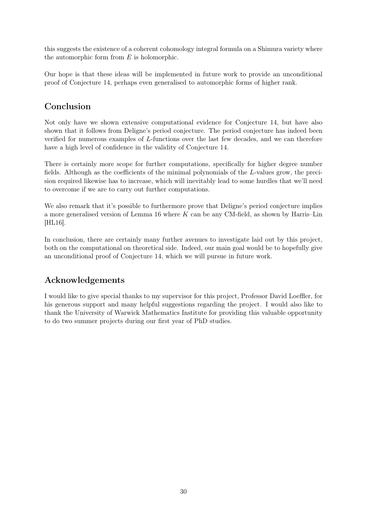this suggests the existence of a coherent cohomology integral formula on a Shimura variety where the automorphic form from  $E$  is holomorphic.

Our hope is that these ideas will be implemented in future work to provide an unconditional proof of Conjecture 14, perhaps even generalised to automorphic forms of higher rank.

## Conclusion

Not only have we shown extensive computational evidence for Conjecture 14, but have also shown that it follows from Deligne's period conjecture. The period conjecture has indeed been verified for numerous examples of L-functions over the last few decades, and we can therefore have a high level of confidence in the validity of Conjecture 14.

There is certainly more scope for further computations, specifically for higher degree number fields. Although as the coefficients of the minimal polynomials of the L-values grow, the precision required likewise has to increase, which will inevitably lead to some hurdles that we'll need to overcome if we are to carry out further computations.

We also remark that it's possible to furthermore prove that Deligne's period conjecture implies a more generalised version of Lemma 16 where  $K$  can be any CM-field, as shown by Harris–Lin [HL16].

In conclusion, there are certainly many further avenues to investigate laid out by this project, both on the computational on theoretical side. Indeed, our main goal would be to hopefully give an unconditional proof of Conjecture 14, which we will pursue in future work.

# Acknowledgements

I would like to give special thanks to my supervisor for this project, Professor David Loeffler, for his generous support and many helpful suggestions regarding the project. I would also like to thank the University of Warwick Mathematics Institute for providing this valuable opportunity to do two summer projects during our first year of PhD studies.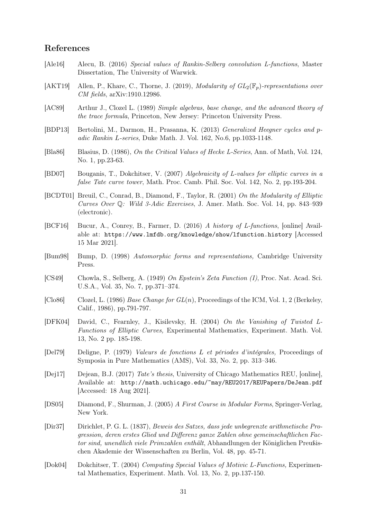### References

- [Ale16] Alecu, B. (2016) Special values of Rankin-Selberg convolution L-functions, Master Dissertation, The University of Warwick.
- [AKT19] Allen, P., Khare, C., Thorne, J. (2019), Modularity of  $GL_2(\mathbb{F}_p)$ -representations over CM fields, arXiv:1910.12986.
- [AC89] Arthur J., Clozel L. (1989) Simple algebras, base change, and the advanced theory of the trace formula, Princeton, New Jersey: Princeton University Press.
- [BDP13] Bertolini, M., Darmon, H., Prasanna, K. (2013) Generalized Heegner cycles and padic Rankin L-series, Duke Math. J. Vol. 162, No.6, pp.1033-1148.
- [Bla86] Blasius, D. (1986), On the Critical Values of Hecke L-Series, Ann. of Math, Vol. 124, No. 1, pp.23-63.
- [BD07] Bouganis, T., Dokchitser, V. (2007) Algebraicity of L-values for elliptic curves in a false Tate curve tower, Math. Proc. Camb. Phil. Soc. Vol. 142, No. 2, pp.193-204.
- [BCDT01] Breuil, C., Conrad, B., Diamond, F., Taylor, R. (2001) On the Modularity of Elliptic Curves Over Q: Wild 3-Adic Exercises, J. Amer. Math. Soc. Vol. 14, pp. 843–939 (electronic).
- [BCF16] Bucur, A., Conrey, B., Farmer, D. (2016) A history of L-functions, [online] Available at: https://www.lmfdb.org/knowledge/show/lfunction.history [Accessed 15 Mar 2021].
- [Bum98] Bump, D. (1998) Automorphic forms and representations, Cambridge University Press.
- [CS49] Chowla, S., Selberg, A. (1949) On Epstein's Zeta Function (I), Proc. Nat. Acad. Sci. U.S.A., Vol. 35, No. 7, pp.371–374.
- [Clo86] Clozel, L. (1986) Base Change for  $GL(n)$ , Proceedings of the ICM, Vol. 1, 2 (Berkeley, Calif., 1986), pp.791-797.
- [DFK04] David, C., Fearnley, J., Kisilevsky, H. (2004) On the Vanishing of Twisted L-Functions of Elliptic Curves, Experimental Mathematics, Experiment. Math. Vol. 13, No. 2 pp. 185-198.
- [Del79] Deligne, P. (1979) Valeurs de fonctions L et périodes d'intégrales, Proceedings of Symposia in Pure Mathematics (AMS), Vol. 33, No. 2, pp. 313–346.
- [Dej17] Dejean, B.J. (2017) Tate's thesis, University of Chicago Mathematics REU, [online], Available at: http://math.uchicago.edu/~may/REU2017/REUPapers/DeJean.pdf [Accessed: 18 Aug 2021].
- [DS05] Diamond, F., Shurman, J. (2005) A First Course in Modular Forms, Springer-Verlag, New York.
- [Dir37] Dirichlet, P. G. L. (1837), Beweis des Satzes, dass jede unbegrenzte arithmetische Progression, deren erstes Glied und Differenz ganze Zahlen ohne gemeinschaftlichen Factor sind, unendlich viele Primzahlen enthält, Abhandlungen der Königlichen Preußischen Akademie der Wissenschaften zu Berlin, Vol. 48, pp. 45-71.
- [Dok04] Dokchitser, T. (2004) Computing Special Values of Motivic L-Functions, Experimental Mathematics, Experiment. Math. Vol. 13, No. 2, pp.137-150.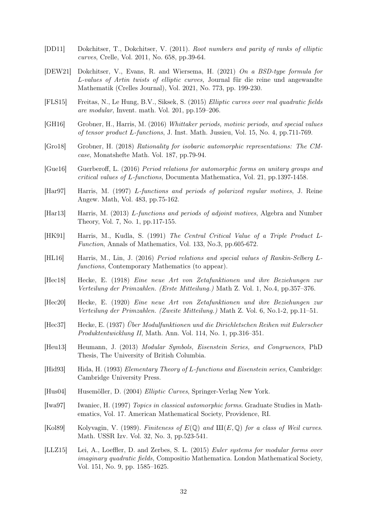- [DD11] Dokchitser, T., Dokchitser, V. (2011). Root numbers and parity of ranks of elliptic curves, Crelle, Vol. 2011, No. 658, pp.39-64.
- [DEW21] Dokchitser, V., Evans, R. and Wiersema, H. (2021) On a BSD-type formula for L-values of Artin twists of elliptic curves, Journal für die reine und angewandte Mathematik (Crelles Journal), Vol. 2021, No. 773, pp. 199-230.
- [FLS15] Freitas, N., Le Hung, B.V., Siksek, S. (2015) Elliptic curves over real quadratic fields are modular, Invent. math. Vol. 201, pp.159–206.
- [GH16] Grobner, H., Harris, M. (2016) Whittaker periods, motivic periods, and special values of tensor product L-functions, J. Inst. Math. Jussieu, Vol. 15, No. 4, pp.711-769.
- [Gro18] Grobner, H. (2018) Rationality for isobaric automorphic representations: The CMcase, Monatshefte Math. Vol. 187, pp.79-94.
- [Gue16] Guerberoff, L. (2016) Period relations for automorphic forms on unitary groups and critical values of L-functions, Documenta Mathematica, Vol. 21, pp.1397-1458.
- [Har97] Harris, M. (1997) L-functions and periods of polarized regular motives, J. Reine Angew. Math, Vol. 483, pp.75-162.
- [Har13] Harris, M. (2013) L-functions and periods of adjoint motives, Algebra and Number Theory, Vol. 7, No. 1, pp.117-155.
- [HK91] Harris, M., Kudla, S. (1991) The Central Critical Value of a Triple Product L-Function, Annals of Mathematics, Vol. 133, No.3, pp.605-672.
- [HL16] Harris, M., Lin, J. (2016) Period relations and special values of Rankin-Selberg Lfunctions, Contemporary Mathematics (to appear).
- [Hec18] Hecke, E. (1918) Eine neue Art von Zetafunktionen und ihre Beziehungen zur Verteilung der Primzahlen. (Erste Mitteilung.) Math Z. Vol. 1, No.4, pp.357–376.
- [Hec20] Hecke, E. (1920) Eine neue Art von Zetafunktionen und ihre Beziehungen zur Verteilung der Primzahlen. (Zweite Mitteilung.) Math Z. Vol. 6, No.1-2, pp.11–51.
- [Hec37] Hecke, E. (1937) Über Modulfunktionen und die Dirichletschen Reihen mit Eulerscher Produktentwicklung II, Math. Ann. Vol. 114, No. 1, pp.316–351.
- [Heu13] Heumann, J. (2013) Modular Symbols, Eisenstein Series, and Congruences, PhD Thesis, The University of British Columbia.
- [Hid93] Hida, H. (1993) *Elementary Theory of L-functions and Eisenstein series*, Cambridge: Cambridge University Press.
- [Hus04] Husemöller, D. (2004) Elliptic Curves, Springer-Verlag New York.
- [Iwa97] Iwaniec, H. (1997) Topics in classical automorphic forms. Graduate Studies in Mathematics, Vol. 17. American Mathematical Society, Providence, RI.
- [Kol89] Kolyvagin, V. (1989). Finiteness of  $E(\mathbb{Q})$  and  $III(E, \mathbb{Q})$  for a class of Weil curves. Math. USSR Izv. Vol. 32, No. 3, pp.523-541.
- [LLZ15] Lei, A., Loeffler, D. and Zerbes, S. L. (2015) Euler systems for modular forms over imaginary quadratic fields, Compositio Mathematica. London Mathematical Society, Vol. 151, No. 9, pp. 1585–1625.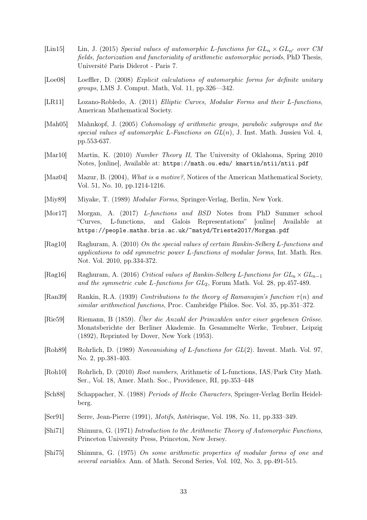- [Lin15] Lin, J. (2015) Special values of automorphic L-functions for  $GL_n \times GL_{n'}$  over CM fields, factorization and functoriality of arithmetic automorphic periods, PhD Thesis, Université Paris Diderot - Paris 7.
- [Loe08] Loeffler, D. (2008) Explicit calculations of automorphic forms for definite unitary groups, LMS J. Comput. Math, Vol. 11, pp.326—342.
- [LR11] Lozano-Robledo, A. (2011) Elliptic Curves, Modular Forms and their L-functions, American Mathematical Society.
- [Mah05] Mahnkopf, J. (2005) Cohomology of arithmetic groups, parabolic subgroups and the special values of automorphic L-Functions on  $GL(n)$ , J. Inst. Math. Jussieu Vol. 4, pp.553-637.
- [Mar10] Martin, K. (2010) Number Theory II, The University of Oklahoma, Spring 2010 Notes, [online], Available at: https://math.ou.edu/ kmartin/ntii/ntii.pdf
- [Maz04] Mazur, B. (2004), *What is a motive?*, Notices of the American Mathematical Society, Vol. 51, No. 10, pp.1214-1216.
- [Miy89] Miyake, T. (1989) Modular Forms, Springer-Verlag, Berlin, New York.
- [Mor17] Morgan, A. (2017) L-functions and BSD Notes from PhD Summer school "Curves, L-functions, and Galois Representations" [online] Available at https://people.maths.bris.ac.uk/~matyd/Trieste2017/Morgan.pdf
- [Rag10] Raghuram, A. (2010) On the special values of certain Rankin-Selberg L-functions and applications to odd symmetric power L-functions of modular forms, Int. Math. Res. Not. Vol. 2010, pp.334-372.
- [Rag16] Raghuram, A. (2016) Critical values of Rankin-Selberg L-functions for  $GL_n \times GL_{n-1}$ and the symmetric cube L-functions for  $GL_2$ , Forum Math. Vol. 28, pp.457-489.
- [Ran39] Rankin, R.A. (1939) Contributions to the theory of Ramanujan's function  $\tau(n)$  and similar arithmetical functions, Proc. Cambridge Philos. Soc. Vol. 35, pp.351–372.
- [Rie59] Riemann, B (1859). Über die Anzahl der Primzahlen unter einer gegebenen Grösse. Monatsberichte der Berliner Akademie. In Gesammelte Werke, Teubner, Leipzig (1892), Reprinted by Dover, New York (1953).
- [Roh89] Rohrlich, D. (1989) Nonvanishing of L-functions for GL(2). Invent. Math. Vol. 97, No. 2, pp.381-403.
- [Roh10] Rohrlich, D. (2010) Root numbers, Arithmetic of L-functions, IAS/Park City Math. Ser., Vol. 18, Amer. Math. Soc., Providence, RI, pp.353–448
- [Sch88] Schappacher, N. (1988) Periods of Hecke Characters, Springer-Verlag Berlin Heidelberg.
- [Ser91] Serre, Jean-Pierre (1991), Motifs, Astérisque, Vol. 198, No. 11, pp.333–349.
- [Shi71] Shimura, G. (1971) Introduction to the Arithmetic Theory of Automorphic Functions, Princeton University Press, Princeton, New Jersey.
- [Shi75] Shimura, G. (1975) On some arithmetic properties of modular forms of one and several variables. Ann. of Math. Second Series, Vol. 102, No. 3, pp.491-515.